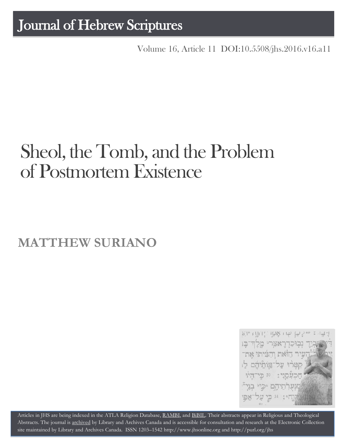# Journal of Hebrew Scriptures

Volume 16, Article 11 [DOI:10.5508/jhs.2016.v16.a11](http://dx.doi.org/10.5508/jhs.2016.v16.a11)

# Sheol, the Tomb, and the Problem of Postmortem Existence

## **MATTHEW SURIANO**



Articles in JHS are being indexed in the ATLA Religion Database, [RAMBI,](http://jnul.huji.ac.il/rambi/) and [BiBIL.](http://bibil.net/) Their abstracts appear in Religious and Theological Abstracts. The journal is [archived](http://epe.lac-bac.gc.ca/100/201/300/journal_hebrew/index.html) by Library and Archives Canada and is accessible for consultation and research at the Electronic Collection site maintained by [Library and Archives Canada.](http://collectionscanada.ca/electroniccollection/003008-200-e.html) ISSN 1203–154[2 http://www.jhsonline.org](http://www.jhsonline.org/) and<http://purl.org/jhs>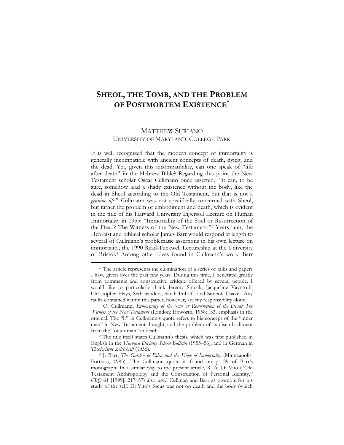## **SHEOL, THE TOMB, AND THE PROBLEM OF POSTMORTEM EXISTENCE\***

### MATTHEW SURIANO UNIVERSITY OF MARYLAND, COLLEGE PARK

It is well recognized that the modern concept of immortality is generally incompatible with ancient concepts of death, dying, and the dead. Yet, given this incompatibility, can one speak of "life after death" in the Hebrew Bible? Regarding this point the New Testament scholar Oscar Cullmann once asserted,[1](#page-1-0) "it can, to be sure, somehow lead a shady existence without the body, like the dead in Sheol according to the Old Testament, but that is not a *genuine life*." Cullmann was not specifically concerned with Sheol, but rather the problem of embodiment and death, which is evident in the title of his Harvard University Ingersoll Lecture on Human Immortality in 1955: "Immortality of the Soul or Resurrection of the Dead? The Witness of the New Testament."[2](#page-1-1) Years later, the Hebraist and biblical scholar James Barr would respond at length to several of Cullmann's problematic assertions in his own lecture on immortality, the 1990 Read-Tuckwell Lectureship at the University of Bristol.[3](#page-1-2) Among other ideas found in Cullmann's work, Barr

<span id="page-1-0"></span><sup>\*</sup> The article represents the culmination of a series of talks and papers I have given over the past few years. During this time, I benefited greatly from comments and constructive critique offered by several people. I would like to particularly thank Jeremy Smoak, Jacqueline Vayntrub, Christopher Hays, Seth Sanders, Sarah Imhoff, and Simeon Chavel. Any faults contained within this paper, however, are my responsibility alone.

<sup>1</sup> O. Cullmann, *Immortality of the Soul or Resurrection of the Dead? The Witness of the New Testament* (London: Epworth, 1958), 33, emphasis in the original. The "it" in Cullmann's quote refers to his concept of the "inner man" in New Testament thought, and the problem of its disembodiment from the "outer man" in death.<br><sup>2</sup> The title itself states Cullmann's thesis, which was first published in

<span id="page-1-1"></span>English in the *Harvard Divinity School Bulletin* (1955–56), and in German in *Theologische Zeitschrift* (1956).

<span id="page-1-2"></span><sup>3</sup> J. Barr, *The Garden of Eden and the Hope of Immortality* (Minneapolis: Fortress, 1993). The Cullmann quote is found on p. 29 of Barr's monograph. In a similar way to the present article, R. A. Di Vito ("Old Testament Anthropology and the Construction of Personal Identity," *CBQ* 61 [1999], 217–37) also used Cullman and Barr as prompts for his study of the self. Di Vito's focus was not on death and the body (which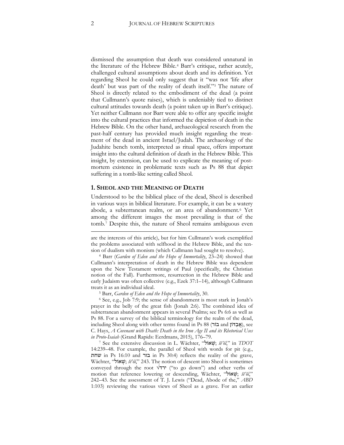dismissed the assumption that death was considered unnatural in the literature of the Hebrew Bible.[4](#page-2-0) Barr's critique, rather acutely, challenged cultural assumptions about death and its definition. Yet regarding Sheol he could only suggest that it "was not 'life after death' but was part of the reality of death itself."[5](#page-2-1) The nature of Sheol is directly related to the embodiment of the dead (a point that Cullmann's quote raises), which is undeniably tied to distinct cultural attitudes towards death (a point taken up in Barr's critique). Yet neither Cullmann nor Barr were able to offer any specific insight into the cultural practices that informed the depiction of death in the Hebrew Bible. On the other hand, archaeological research from the past-half century has provided much insight regarding the treatment of the dead in ancient Israel/Judah. The archaeology of the Judahite bench tomb, interpreted as ritual space, offers important insight into the cultural definition of death in the Hebrew Bible. This insight, by extension, can be used to explicate the meaning of postmortem existence in problematic texts such as Ps 88 that depict suffering in a tomb-like setting called Sheol.

#### **1. SHEOL AND THE MEANING OF DEATH**

Understood to be the biblical place of the dead, Sheol is described in various ways in biblical literature. For example, it can be a watery abode, a subterranean realm, or an area of abandonment.[6](#page-2-2) Yet among the different images the most prevailing is that of the tomb.[7](#page-2-3) Despite this, the nature of Sheol remains ambiguous even

<span id="page-2-0"></span><sup>4</sup> Barr (*Garden of Eden and the Hope of Immortality*, 23–24) showed that Cullmann's interpretation of death in the Hebrew Bible was dependent upon the New Testament writings of Paul (specifically, the Christian notion of the Fall). Furthermore, resurrection in the Hebrew Bible and early Judaism was often collective (e.g., Ezek 37:1–14), although Cullmann treats it as an individual ideal.

<sup>5</sup> Barr, *Garden of Eden and the Hope of Immortality*, 30.

<span id="page-2-2"></span><span id="page-2-1"></span><sup>6</sup> See, e.g., Job 7:9; the sense of abandonment is most stark in Jonah's prayer in the belly of the great fish (Jonah 2:6). The combined idea of subterranean abandonment appears in several Psalms; see Ps 6:6 as well as Ps 88. For a survey of the biblical terminology for the realm of the dead, including Sheol along with other terms found in Ps 88 (אֲבָדוֹן and אֲבָדוֹן), see C. Hays, *A Covenant with Death: Death in the Iron Age II and its Rhetorical Uses in Proto-Isaiah* (Grand Rapids: Eerdmans, 2015), 176–79.

<span id="page-2-3"></span><sup>7</sup> See the extensive discussion in L. Wächter, "אוֹל ְשׁ ;*šĕ'ôl*," in *TDOT*  14:239–48. For example, the parallel of Sheol with words for pit (e.g., שחת in Ps 16:10 and בור in Ps 30:4) reflects the reality of the grave, Wächter, "אוֹל ְשׁ ;*šĕ'ôl*," 243. The notion of descent into Sheol is sometimes conveyed through the root √ירד") to go down") and other verbs of motion that reference lowering or descending, Wächter, "אוֹל ְשׁ ;*šĕ'ôl*," 242–43. See the assessment of T. J. Lewis ("Dead, Abode of the," *ABD*  1:103) reviewing the various views of Sheol as a grave. For an earlier

are the interests of this article), but for him Cullmann's work exemplified the problems associated with selfhood in the Hebrew Bible, and the tension of dualism with monism (which Cullmann had sought to resolve).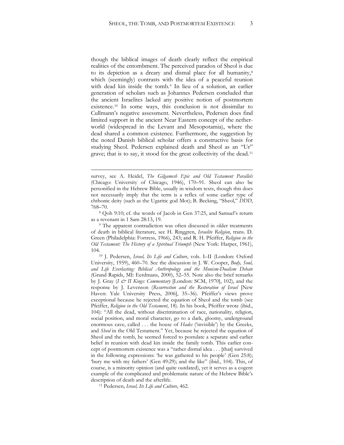though the biblical images of death clearly reflect the empirical realities of the entombment. The perceived paradox of Sheol is due to its depiction as a dreary and dismal place for all humanity,<sup>[8](#page-3-0)</sup> which (seemingly) contrasts with the idea of a peaceful reunion with dead kin inside the tomb.[9](#page-3-1) In lieu of a solution, an earlier generation of scholars such as Johannes Pedersen concluded that the ancient Israelites lacked any positive notion of postmortem existence.[10](#page-3-2) In some ways, this conclusion is not dissimilar to Cullmann's negative assessment. Nevertheless, Pedersen does find limited support in the ancient Near Eastern concept of the netherworld (widespread in the Levant and Mesopotamia), where the dead shared a common existence. Furthermore, the suggestion by the noted Danish biblical scholar offers a constructive basis for studying Sheol. Pedersen explained death and Sheol as an "Ur" grave; that is to say, it stood for the great collectivity of the dead.[11](#page-3-3)

survey, see A. Heidel, *The Gilgamesh Epic and Old Testament Parallels* (Chicago: University of Chicago, 1946), 170–91. Sheol can also be personified in the Hebrew Bible, usually in wisdom texts, though this does not necessarily imply that the term is a reflex of some earlier type of chthonic deity (such as the Ugaritic god Mot); B. Becking, "Sheol," *DDD*, 768–70.

<span id="page-3-0"></span><sup>8</sup> Qoh 9:10; cf. the words of Jacob in Gen 37:25, and Samuel's return as a revenant in 1 Sam 28:13, 19.

<span id="page-3-1"></span><sup>&</sup>lt;sup>9</sup> The apparent contradiction was often discussed in older treatments of death in biblical literature, see H. Ringgren, *Israelite Religion*, trans. D. Green (Philadelphia: Fortress, 1966), 243; and R. H. Pfeiffer, *Religion in the Old Testament: The History of a Spiritual Triumph* (New York: Harper, 1961), 104.

<span id="page-3-2"></span><sup>10</sup> J. Pedersen, *Israel, Its Life and Culture*, vols. I–II (London: Oxford University, 1959), 460–70. See the discussion in J. W. Cooper, *Body, Soul, and Life Everlasting: Biblical Anthropology and the Monism-Dualism Debate* (Grand Rapids, MI: Eerdmans, 2000), 52–55. Note also the brief remarks by J. Gray (*I & II Kings: Commentary* [London: SCM, 1970], 102), and the response by J. Levenson (*Resurrection and the Restoration of Israel* [New Haven: Yale University Press, 2006], 35–36). Pfeiffer's views prove exceptional because he rejected the equation of Sheol and the tomb (see Pfeiffer, *Religion in the Old Testament*, 18). In his book, Pfeiffer wrote (ibid., 104): "All the dead, without discrimination of race, nationality, religion, social position, and moral character, go to a dark, gloomy, underground enormous cave, called . . . the house of *Hades* ('invisible') by the Greeks, and *Sheol* in the Old Testament." Yet, because he rejected the equation of Sheol and the tomb, he seemed forced to postulate a separate and earlier belief in reunion with dead kin inside the family tomb. This earlier concept of postmortem existence was a "rather dismal idea . . . [that] survived in the following expressions: 'he was gathered to his people' (Gen 25:8); 'bury me with my fathers' (Gen 49:29); and the like" (ibid., 104). This, of course, is a minority opinion (and quite outdated), yet it serves as a cogent example of the complicated and problematic nature of the Hebrew Bible's description of death and the afterlife. 11 Pedersen, *Israel, Its Life and Culture*, 462.

<span id="page-3-3"></span>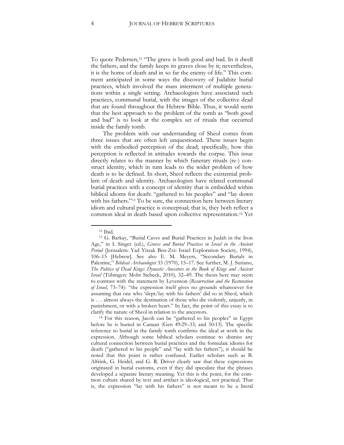To quote Pedersen,<sup>[12](#page-4-0)</sup> "The grave is both good and bad. In it dwell the fathers, and the family keeps its graves close by it; nevertheless, it is the home of death and in so far the enemy of life." This comment anticipated in some ways the discovery of Judahite burial practices, which involved the mass interment of multiple generations within a single setting. Archaeologists have associated such practices, communal burial, with the images of the collective dead that are found throughout the Hebrew Bible. Thus, it would seem that the best approach to the problem of the tomb as "both good and bad" is to look at the complex set of rituals that occurred inside the family tomb.

The problem with our understanding of Sheol comes from three issues that are often left unquestioned. These issues begin with the embodied perception of the dead; specifically, how this perception is reflected in attitudes towards the corpse. This issue directly relates to the manner by which funerary rituals (re-) construct identity, which in turn leads to the wider problem of how death is to be defined. In short, Sheol reflects the existential problem of death and identity. Archaeologists have related communal burial practices with a concept of identity that is embedded within biblical idioms for death: "gathered to his peoples" and "lay down with his fathers."[13](#page-4-1) To be sure, the connection here between literary idiom and cultural practice is conceptual; that is, they both reflect a common ideal in death based upon collective representation.[14](#page-4-2) Yet

<sup>12</sup> Ibid.

<span id="page-4-1"></span><span id="page-4-0"></span><sup>13</sup> G. Barkay, "Burial Caves and Burial Practices in Judah in the Iron Age," in I. Singer (ed.), *Graves and Burial Practices in Israel in the Ancient Period* (Jerusalem: Yad Yitzak Ben-Zvi: Israel Exploration Society, 1994), 106–15 [Hebrew]. See also E. M. Meyers, "Secondary Burials in Palestine," *Biblical Archaeologist* 33 (1970), 15–17. See further, M. J. Suriano, *The Politics of Dead Kings: Dynastic Ancestors in the Book of Kings and Ancient Israel* (Tübingen: Mohr Siebeck, 2010), 32–49. The thesis here may seem to contrast with the statement by Levenson (*Resurrection and the Restoration of Israel*, 73–74): "the expression itself gives no grounds whatsoever for assuming that one who 'slept/lay with his fathers' did so in Sheol, which is . . . almost always the destination of those who die violently, unjustly, in punishment, or with a broken heart." In fact, the point of this essay is to clarify the nature of Sheol in relation to the ancestors.

<span id="page-4-2"></span><sup>14</sup> For this reason, Jacob can be "gathered to his peoples" in Egypt before he is buried in Canaan (Gen 49:29–33; and 50:13). The specific reference to burial in the family tomb confirms the ideal at work in the expression. Although some biblical scholars continue to dismiss any cultural connection between burial practices and the formulaic idioms for death ("gathered to his people" and "lay with his fathers"), it should be noted that this point is rather confused. Earlier scholars such as B. Alfrink, G. Heidel, and G. R. Driver clearly saw that these expressions originated in burial customs, even if they did speculate that the phrases developed a separate literary meaning. Yet this is the point, for the common culture shared by text and artifact is ideological, not practical. That is, the expression "lay with his fathers" is not meant to be a literal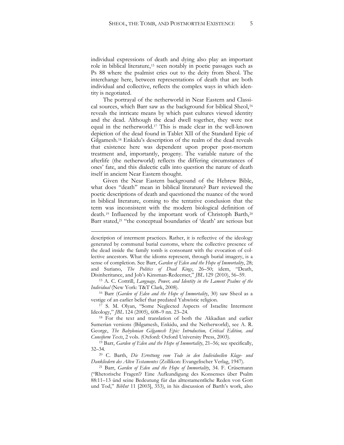individual expressions of death and dying also play an important role in biblical literature,[15](#page-5-0) seen notably in poetic passages such as Ps 88 where the psalmist cries out to the deity from Sheol. The interchange here, between representations of death that are both individual and collective, reflects the complex ways in which identity is negotiated.

The portrayal of the netherworld in Near Eastern and Classical sources, which Barr saw as the background for biblical Sheol, [16](#page-5-1) reveals the intricate means by which past cultures viewed identity and the dead. Although the dead dwell together, they were not equal in the netherworld.[17](#page-5-2) This is made clear in the well-known depiction of the dead found in Tablet XII of the Standard Epic of Gilgamesh[.18](#page-5-3) Enkidu's description of the realm of the dead reveals that existence here was dependent upon proper post-mortem treatment and, importantly, progeny. The variable nature of the afterlife (the netherworld) reflects the differing circumstances of ones' fate, and this dialectic calls into question the nature of death itself in ancient Near Eastern thought.

Given the Near Eastern background of the Hebrew Bible, what does "death" mean in biblical literature? Barr reviewed the poetic descriptions of death and questioned the nuance of the word in biblical literature, coming to the tentative conclusion that the term was inconsistent with the modern biological definition of death.<sup>[19](#page-5-4)</sup> Influenced by the important work of Christoph Barth,<sup>[20](#page-5-5)</sup> Barr stated,<sup>[21](#page-5-6)</sup> "the conceptual boundaries of 'death' are serious but

 $\overline{a}$ 

<span id="page-5-0"></span><sup>15</sup> A. C. Cottrill, *Language, Power, and Identity in the Lament Psalms of the Individual* (New York: T&T Clark, 2008).

<span id="page-5-1"></span><sup>16</sup> Barr (*Garden of Eden and the Hope of Immortality*, 30) saw Sheol as a vestige of an earlier belief that predated Yahwistic religion.

<span id="page-5-2"></span><sup>17</sup> S. M. Olyan, "Some Neglected Aspects of Israelite Interment Ideology," *JBL* 124 (2005), 608–9 nn. 23–24.

<span id="page-5-3"></span><sup>18</sup> For the text and translation of both the Akkadian and earlier Sumerian versions (Bilgamesh, Enkidu, and the Netherworld), see A. R. George, *The Babylonian Gilgamesh Epic: Introduction, Critical Edition, and Cuneiform Texts*, 2 vols. (Oxford: Oxford University Press, 2003).

<span id="page-5-4"></span><sup>19</sup> Barr, *Garden of Eden and the Hope of Immortality*, 21–56; see specifically, 32–34.

<span id="page-5-5"></span><sup>20</sup> C. Barth, *Die Errettung vom Tode in den Individuellen Klage- und Dankliedern des Alten Testamentes* (Zollikon: Evangelischer Verlag, 1947).

<span id="page-5-6"></span><sup>21</sup> Barr, *Garden of Eden and the Hope of Immortality*, 34. F. Crüsemann ("Rhetorische Fragen!? Eine Aufkundigung des Konsenses über Psalm 88:11–13 ünd seine Bedeutung für das alttestamentliche Reden von Gott und Tod," *BibInt* 11 [2003], 353), in his discussion of Barth's work, also

description of interment practices. Rather, it is reflective of the ideology generated by communal burial customs, where the collective presence of the dead inside the family tomb is consonant with the evocation of collective ancestors. What the idioms represent, through burial imagery, is a sense of completion. See Barr, *Garden of Eden and the Hope of Immortality*, 28; and Suriano, *The Politics of Dead Kings*, 26–50; idem, "Death, Disinheritance, and Job's Kinsman-Redeemer," *JBL* 129 (2010), 56–59.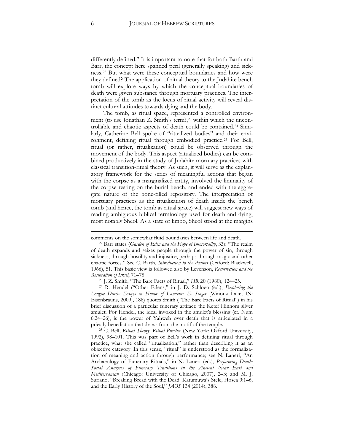differently defined." It is important to note that for both Barth and Barr, the concept here spanned peril (generally speaking) and sickness.[22](#page-6-0) But what were these conceptual boundaries and how were they defined? The application of ritual theory to the Judahite bench tomb will explore ways by which the conceptual boundaries of death were given substance through mortuary practices. The interpretation of the tomb as the locus of ritual activity will reveal distinct cultural attitudes towards dying and the body.

The tomb, as ritual space, represented a controlled environ-ment (to use Jonathan Z. Smith's term),<sup>[23](#page-6-1)</sup> within which the uncontrollable and chaotic aspects of death could be contained.[24](#page-6-2) Similarly, Catherine Bell spoke of "ritualized bodies" and their environment, defining ritual through embodied practice.[25](#page-6-3) For Bell, ritual (or rather, ritualization) could be observed through the movement of the body. This aspect (ritualized bodies) can be combined productively in the study of Judahite mortuary practices with classical transition-ritual theory. As such, it will serve as the explanatory framework for the series of meaningful actions that began with the corpse as a marginalized entity, involved the liminality of the corpse resting on the burial bench, and ended with the aggregate nature of the bone-filled repository. The interpretation of mortuary practices as the ritualization of death inside the bench tomb (and hence, the tomb as ritual space) will suggest new ways of reading ambiguous biblical terminology used for death and dying, most notably Sheol. As a state of limbo, Sheol stood at the margins

<span id="page-6-0"></span>comments on the somewhat fluid boundaries between life and death. 22 Barr states (*Garden of Eden and the Hope of Immortality*, 33): "The realm of death expands and seizes people through the power of sin, through sickness, through hostility and injustice, perhaps through magic and other chaotic forces." See C. Barth, *Introduction to the Psalms* (Oxford: Blackwell, 1966), 51. This basic view is followed also by Levenson, *Resurrection and the Restoration of Israel*, 71–78.

<sup>23</sup> J. Z. Smith, "The Bare Facts of Ritual," *HR* 20 (1980), 124–25.

<span id="page-6-2"></span><span id="page-6-1"></span><sup>24</sup> R. Hendel ("Other Edens," in J. D. Schloen (ed.), *Exploring the Longue Durée: Essays in Honor of Lawrence E. Stager* [Winona Lake, IN: Eisenbrauns, 2009], 188) quotes Smith ("The Bare Facts of Ritual") in his brief discussion of a particular funerary artifact: the Ketef Hinnom silver amulet. For Hendel, the ideal invoked in the amulet's blessing (cf. Num 6:24–26), is the power of Yahweh over death that is articulated in a priestly benediction that draws from the motif of the temple.

<span id="page-6-3"></span><sup>25</sup> C. Bell, *Ritual Theory, Ritual Practice* (New York: Oxford University, 1992), 98–101. This was part of Bell's work in defining ritual through practice, what she called "ritualization," rather than describing it as an objective category. In this sense, "ritual" is understood as the formalization of meaning and action through performance; see N. Laneri, "An Archaeology of Funerary Rituals," in N. Laneri (ed.), *Performing Death: Social Analyses of Funerary Traditions in the Ancient Near East and Mediterranean* (Chicago: University of Chicago, 2007), 2–3; and M. J. Suriano, "Breaking Bread with the Dead: Katumuwa's Stele, Hosea 9:1–6, and the Early History of the Soul," *JAOS* 134 (2014), 388.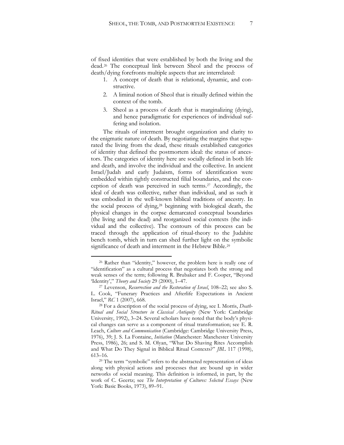of fixed identities that were established by both the living and the dead.[26](#page-7-0) The conceptual link between Sheol and the process of death/dying forefronts multiple aspects that are interrelated:

- 1. A concept of death that is relational, dynamic, and constructive.
- 2. A liminal notion of Sheol that is ritually defined within the context of the tomb.
- 3. Sheol as a process of death that is marginalizing (dying), and hence paradigmatic for experiences of individual suffering and isolation.

The rituals of interment brought organization and clarity to the enigmatic nature of death. By negotiating the margins that separated the living from the dead, these rituals established categories of identity that defined the postmortem ideal: the status of ancestors. The categories of identity here are socially defined in both life and death, and involve the individual and the collective. In ancient Israel/Judah and early Judaism, forms of identification were embedded within tightly constructed filial boundaries, and the conception of death was perceived in such terms.[27](#page-7-1) Accordingly, the ideal of death was collective, rather than individual, and as such it was embodied in the well-known biblical traditions of ancestry. In the social process of dying,[28](#page-7-2) beginning with biological death, the physical changes in the corpse demarcated conceptual boundaries (the living and the dead) and reorganized social contexts (the individual and the collective). The contours of this process can be traced through the application of ritual-theory to the Judahite bench tomb, which in turn can shed further light on the symbolic significance of death and interment in the Hebrew Bible.<sup>[29](#page-7-3)</sup>

<span id="page-7-0"></span><sup>26</sup> Rather than "identity," however, the problem here is really one of "identification" as a cultural process that negotiates both the strong and weak senses of the term; following R. Brubaker and F. Cooper, "Beyond 'Identity'," *Theory and Society* 29 (2000), 1–47.

<span id="page-7-1"></span><sup>27</sup> Levenson, *Resurrection and the Restoration of Israel*, 108–22; see also S. L. Cook, "Funerary Practices and Afterlife Expectations in Ancient Israel," *RC* 1 (2007), 668.

<span id="page-7-2"></span><sup>28</sup> For a description of the social process of dying, see I. Morris, *Death-Ritual and Social Structure in Classical Antiquity* (New York: Cambridge University, 1992), 3–24. Several scholars have noted that the body's physical changes can serve as a component of ritual transformation; see E. R. Leach, *Culture and Communication* (Cambridge: Cambridge University Press, 1976), 39; J. S. La Fontaine, *Initiation* (Manchester: Manchester University Press, 1986), 26; and S. M. Olyan, "What Do Shaving Rites Accomplish and What Do They Signal in Biblical Ritual Contexts?" *JBL* 117 (1998), 613–16.

<span id="page-7-3"></span><sup>&</sup>lt;sup>29</sup> The term "symbolic" refers to the abstracted representation of ideas along with physical actions and processes that are bound up in wider networks of social meaning. This definition is informed, in part, by the work of C. Geertz; see *The Interpretation of Cultures: Selected Essays* (New York: Basic Books, 1973), 89–91.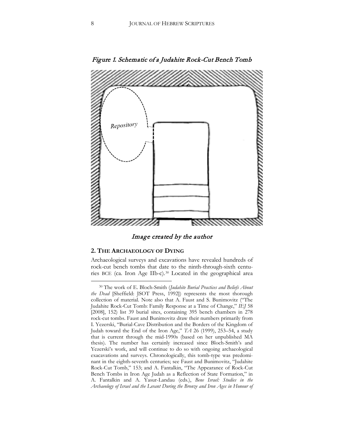

Figure 1. Schematic of a Judahite Rock-Cut Bench Tomb

Image created by the author

#### **2. THE ARCHAEOLOGY OF DYING**

 $\overline{a}$ 

Archaeological surveys and excavations have revealed hundreds of rock-cut bench tombs that date to the ninth-through-sixth centuries BCE (ca. Iron Age IIb-c).[30](#page-8-0) Located in the geographical area

<span id="page-8-0"></span><sup>30</sup> The work of E. Bloch-Smith (*Judahite Burial Practices and Beliefs About the Dead* [Sheffield: JSOT Press, 1992]) represents the most thorough collection of material. Note also that A. Faust and S. Bunimovitz ("The Judahite Rock-Cut Tomb: Family Response at a Time of Change," *IEJ* 58 [2008], 152) list 39 burial sites, containing 395 bench chambers in 278 rock-cut tombs. Faust and Bunimovitz draw their numbers primarily from I. Yezerski, "Burial-Cave Distribution and the Borders of the Kingdom of Judah toward the End of the Iron Age," *TA* 26 (1999), 253–54, a study that is current through the mid-1990s (based on her unpublished MA thesis). The number has certainly increased since Bloch-Smith's and Yezerski's work, and will continue to do so with ongoing archaeological exacavations and surveys. Chronologically, this tomb-type was predominant in the eighth-seventh centuries; see Faust and Bunimovitz, "Judahite Rock-Cut Tomb," 153; and A. Fantalkin, "The Appearance of Rock-Cut Bench Tombs in Iron Age Judah as a Reflection of State Formation," in A. Fantalkin and A. Yasur-Landau (eds.), *Bene Israel: Studies in the Archaeology of Israel and the Levant During the Bronze and Iron Ages in Honour of*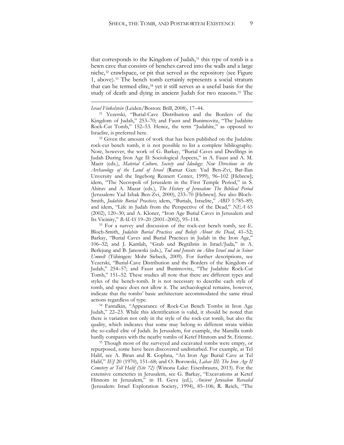that corresponds to the Kingdom of Judah,<sup>[31](#page-9-0)</sup> this type of tomb is a hewn cave that consists of benches carved into the walls and a large niche,[32](#page-9-1) crawlspace, or pit that served as the repository (see Figure 1, above).[33](#page-9-2) The bench tomb certainly represents a social stratum that can be termed elite,<sup>[34](#page-9-3)</sup> yet it still serves as a useful basis for the study of death and dying in ancient Judah for two reasons.[35](#page-9-4) The

 $\overline{a}$ 

<sup>31</sup> Yezerski, "Burial-Cave Distribution and the Borders of the Kingdom of Judah," 253–70; and Faust and Bunimovitz, "The Judahite Rock-Cut Tomb," 152–53. Hence, the term "Judahite," as opposed to Israelite, is preferred here.

<span id="page-9-1"></span><sup>32</sup> Given the amount of work that has been published on the Judahite rock-cut bench tomb, it is not possible to list a complete bibliography. Note, however, the work of G. Barkay, "Burial Caves and Dwellings in Judah During Iron Age II: Sociological Aspects," in A. Faust and A. M. Maeir (eds.), *Material Culture, Society and Ideology: New Directions in the Archaeology of the Land of Israel* (Ramat Gan: Yad Ben-Zvi, Bar-Ilan Unversity and the Ingeborg Rennert Center, 1999), 96–102 [Hebrew]; idem, "The Necropoli of Jerusalem in the First Temple Period," in S. Ahituv and A. Mazar (eds.), *The History of Jerusalem: The Biblical Period* (Jerusalem: Yad Izhak Ben-Zvi, 2000), 233–70 [Hebrew]. See also Bloch-Smith, *Judahite Burial Practices*; idem, "Burials, Israelite," *ABD* 1:785–89; and idem, "Life in Judah from the Perspective of the Dead," *NEA* 65 (2002), 120–30; and A. Kloner, "Iron Age Burial Caves in Jerusalem and Its Vicinity," *BAIAS* 19–20 (2001–2002), 95–118.

<span id="page-9-2"></span><sup>33</sup> For a survey and discussion of the rock-cut bench tomb, see E. Bloch-Smith, *Judahite Burial Practices and Beliefs About the Dead*, 41–52; Barkay, "Burial Caves and Burial Practices in Judah in the Iron Age," 106–32; and J. Kamlah, "Grab und Begräbnis in Israel/Juda," in A. Berlejung and B. Janowski (eds.), *Tod und Jenseits im Alten Israel und in Seiner Umwelt* (Tübingen: Mohr Siebeck, 2009). For further descriptions, see Yezerski, "Burial-Cave Distribution and the Borders of the Kingdom of Judah," 254–57; and Faust and Bunimovitz, "The Judahite Rock-Cut Tomb," 151–52. These studies all note that there are different types and styles of the bench-tomb. It is not necessary to describe each style of tomb, and space does not allow it. The archaeological remains, however, indicate that the tombs' basic architecture accommodated the same ritual actions regardless of type.

<span id="page-9-3"></span><sup>34</sup> Fantalkin, "Appearance of Rock-Cut Bench Tombs in Iron Age Judah," 22–23. While this identification is valid, it should be noted that there is variation not only in the style of the rock-cut tomb, but also the quality, which indicates that some may belong to different strata within the so-called elite of Judah. In Jerusalem, for example, the Mamilla tomb hardly compares with the nearby tombs of Ketef Hinnom and St. Etienne.

<span id="page-9-4"></span><sup>35</sup> Though most of the surveyed and excavated tombs were empty, or repurposed, some have been discovered undisturbed. For example, at Tel Halif, see A. Biran and R. Gophna, "An Iron Age Burial Cave at Tel Halif," *IEJ* 20 (1970), 151–68; and O. Borowski, *Lahav III: The Iron Age II Cemetery at Tell Halif (Site 72)* (Winona Lake: Eisenbrauns, 2013). For the extensive cemeteries in Jerusalem, see G. Barkay, "Excavations at Ketef Hinnom in Jerusalem," in H. Geva (ed.), *Ancient Jerusalem Revealed* (Jerusalem: Israel Exploration Society, 1994), 85–106; R. Reich, "The

<span id="page-9-0"></span>*Israel Finkelstein* (Leiden/Boston: Brill, 2008), 17–44.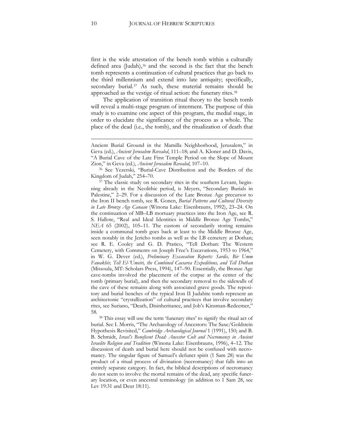first is the wide attestation of the bench tomb within a culturally defined area (Judah),<sup>[36](#page-10-0)</sup> and the second is the fact that the bench tomb represents a continuation of cultural practices that go back to the third millennium and extend into late antiquity; specifically, secondary burial.<sup>[37](#page-10-1)</sup> As such, these material remains should be approached as the vestige of ritual action: the funerary rites.[38](#page-10-2)

The application of transition ritual theory to the bench tomb will reveal a multi-stage program of interment. The purpose of this study is to examine one aspect of this program, the medial stage, in order to elucidate the significance of the process as a whole. The place of the dead (i.e., the tomb), and the ritualization of death that

<span id="page-10-1"></span><sup>37</sup> The classic study on secondary rites in the southern Levant, beginning already in the Neolithic period, is Meyers, "Secondary Burials in Palestine," 2–29. For a discussion of the Late Bronze Age precursor to the Iron II bench tomb, see R. Gonen, *Burial Patterns and Cultural Diversity in Late Bronze Age Canaan* (Winona Lake: Eisenbrauns, 1992), 23–24. On the continuation of MB–LB mortuary practices into the Iron Age, see R. S. Hallote, "Real and Ideal Identities in Middle Bronze Age Tombs," *NEA* 65 (2002), 105–11. The custom of secondarily storing remains inside a communal tomb goes back at least to the Middle Bronze Age, seen notably in the Jericho tombs as well as the LB cemetery at Dothan; see R. E. Cooley and G. D. Pratico, "Tell Dothan: The Western Cemetery, with Comments on Joseph Free's Excavations, 1953 to 1964," in W. G. Dever (ed.), *Preliminary Excavation Reports: Sardis, Bir Umm Fawakhir, Tell El-'Umeiri, the Combined Caesarea Expeditions, and Tell Dothan* (Missoula, MT: Scholars Press, 1994), 147–90. Essentially, the Bronze Age cave-tombs involved the placement of the corpse at the center of the tomb (primary burial), and then the secondary removal to the sidewalls of the cave of these remains along with associated grave goods. The repository and burial benches of the typical Iron II Judahite tomb represent an architectonic "crystallization" of cultural practices that involve secondary rites, see Suriano, "Death, Disinheritance, and Job's Kinsman-Redeemer," 58.

<span id="page-10-2"></span><sup>38</sup> This essay will use the term 'funerary rites' to signify the ritual act of burial. See I. Morris, "The Archaeology of Ancestors: The Saxe/Goldstein Hypothesis Revisited," *Cambridge Archaeological Journal* 1 (1991), 150; and B. B. Schmidt, *Israel's Beneficent Dead: Ancestor Cult and Necromancy in Ancient Israelite Religion and Tradition* (Winona Lake: Eisenbrauns, 1996), 4–12. The discussion of death and burial here should not be confused with necromancy. The singular figure of Samuel's defunct spirit (1 Sam 28) was the product of a ritual process of divination (necromancy) that falls into an entirely separate category. In fact, the biblical descriptions of necromancy do not seem to involve the mortal remains of the dead, any specific funerary location, or even ancestral terminology (in addition to 1 Sam 28, see Lev 19:31 and Deut 18:11).

Ancient Burial Ground in the Mamilla Neighborhood, Jerusalem," in Geva (ed.), *Ancient Jerusalem Revealed*, 111–18; and A. Kloner and D. Davis, "A Burial Cave of the Late First Temple Period on the Slope of Mount Zion," in Geva (ed.), *Ancient Jerusalem Revealed*, 107–10.

<span id="page-10-0"></span><sup>36</sup> See Yezerski, "Burial-Cave Distribution and the Borders of the Kingdom of Judah," 254–70.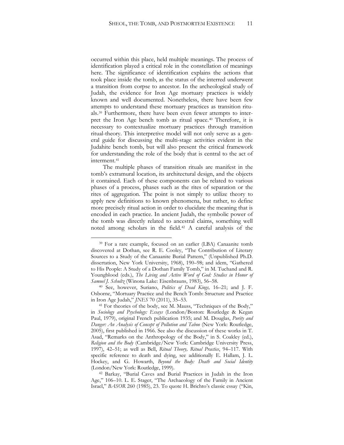occurred within this place, held multiple meanings. The process of identification played a critical role in the constellation of meanings here. The significance of identification explains the actions that took place inside the tomb, as the status of the interred underwent a transition from corpse to ancestor. In the archeological study of Judah, the evidence for Iron Age mortuary practices is widely known and well documented. Nonetheless, there have been few attempts to understand these mortuary practices as transition rituals.[39](#page-11-0) Furthermore, there have been even fewer attempts to interpret the Iron Age bench tomb as ritual space.[40](#page-11-1) Therefore, it is necessary to contextualize mortuary practices through transition ritual-theory. This interpretive model will not only serve as a general guide for discussing the multi-stage activities evident in the Judahite bench tomb, but will also present the critical framework for understanding the role of the body that is central to the act of interment.[41](#page-11-2)

The multiple phases of transition rituals are manifest in the tomb's extramural location, its architectural design, and the objects it contained. Each of these components can be related to various phases of a process, phases such as the rites of separation or the rites of aggregation. The point is not simply to utilize theory to apply new definitions to known phenomena, but rather, to define more precisely ritual action in order to elucidate the meaning that is encoded in each practice. In ancient Judah, the symbolic power of the tomb was directly related to ancestral claims, something well noted among scholars in the field.[42](#page-11-3) A careful analysis of the

<span id="page-11-0"></span><sup>39</sup> For a rare example, focused on an earlier (LBA) Canaanite tomb discovered at Dothan, see R. E. Cooley, "The Contribution of Literary Sources to a Study of the Canaanite Burial Pattern," (Unpublished Ph.D. dissertation, New York University, 1968), 190–98; and idem, "Gathered to His People: A Study of a Dothan Family Tomb," in M. Tuchand and R. Youngblood (eds.), *The Living and Active Word of God: Studies in Honor of Samuel J. Schultz* (Winona Lake: Eisenbrauns, 1983), 56–58.

<span id="page-11-1"></span><sup>40</sup> See, however, Suriano, *Politics of Dead Kings,* 16–21; and J. F. Osborne, "Mortuary Practice and the Bench Tomb: Structure and Practice in Iron Age Judah," *JNES* 70 (2011), 35–53.

<span id="page-11-2"></span><sup>41</sup> For theories of the body, see M. Mauss, "Techniques of the Body," in *Sociology and Psychology: Essays* (London/Boston: Routledge & Kegan Paul, 1979), original French publication 1935; and M. Douglas, *Purity and Danger: An Analysis of Concept of Pollution and Taboo* (New York: Routledge, 2005), first published in 1966. See also the discussion of these works in T. Asad, "Remarks on the Anthropology of the Body," in S. Coakley (ed.), *Religion and the Body* (Cambridge/New York: Cambridge University Press, 1997), 42–51; as well as Bell, *Ritual Theory, Ritual Practice*, 94–117. With specific reference to death and dying, see additionally E. Hallam, J. L. Hockey, and G. Howarth, *Beyond the Body: Death and Social Identity* (London/New York: Routledge, 1999).

<span id="page-11-3"></span><sup>42</sup> Barkay, "Burial Caves and Burial Practices in Judah in the Iron Age," 106–10. L. E. Stager, "The Archaeology of the Family in Ancient Israel," *BASOR* 260 (1985), 23. To quote H. Brichto's classic essay ("Kin,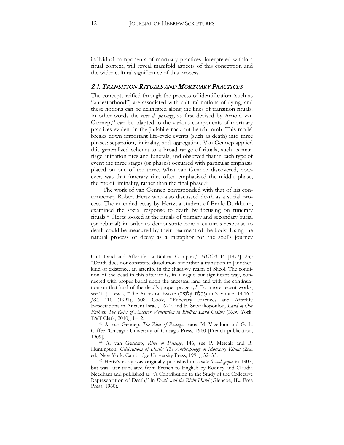individual components of mortuary practices, interpreted within a ritual context, will reveal manifold aspects of this conception and the wider cultural significance of this process.

#### 2.1. TRANSITION RITUALS AND MORTUARY PRACTICES

The concepts reified through the process of identification (such as "ancestorhood") are associated with cultural notions of dying, and these notions can be delineated along the lines of transition rituals. In other words the *rites de passage*, as first devised by Arnold van Gennep,<sup>[43](#page-12-0)</sup> can be adapted to the various components of mortuary practices evident in the Judahite rock-cut bench tomb. This model breaks down important life-cycle events (such as death) into three phases: separation, liminality, and aggregation. Van Gennep applied this generalized schema to a broad range of rituals, such as marriage, initiation rites and funerals, and observed that in each type of event the three stages (or phases) occurred with particular emphasis placed on one of the three. What van Gennep discovered, however, was that funerary rites often emphasized the middle phase, the rite of liminality, rather than the final phase.[44](#page-12-1)

The work of van Gennep corresponded with that of his contemporary Robert Hertz who also discussed death as a social process. The extended essay by Hertz, a student of Emile Durkheim, examined the social response to death by focusing on funerary rituals.[45](#page-12-2) Hertz looked at the rituals of primary and secondary burial (or reburial) in order to demonstrate how a culture's response to death could be measured by their treatment of the body. Using the natural process of decay as a metaphor for the soul's journey

<span id="page-12-0"></span><sup>43</sup> A. van Gennep, *The Rites of Passage*, trans. M. Vizedom and G. L. Caffee (Chicago: University of Chicago Press, 1960 [French publication, 1909]).

<span id="page-12-1"></span><sup>44</sup> A. van Gennep, *Rites of Passage*, 146; see P. Metcalf and R. Huntington, *Celebrations of Death: The Anthropology of Mortuary Ritual* (2nd ed.; New York: Cambridge University Press, 1991), 32–33.

<span id="page-12-2"></span><sup>45</sup> Hertz's essay was originally published in *Année Sociologique* in 1907, but was later translated from French to English by Rodney and Claudia Needham and published as "A Contribution to the Study of the Collective Representation of Death," in *Death and the Right Hand* (Glencoe, IL.: Free Press, 1960).

Cult, Land and Afterlife—a Biblical Complex," *HUCA* 44 [1973], 23): "Death does not constitute dissolution but rather a transition to [another] kind of existence, an afterlife in the shadowy realm of Sheol. The condition of the dead in this afterlife is, in a vague but significant way, connected with proper burial upon the ancestral land and with the continuation on that land of the dead's proper progeny." For more recent works, see T. J. Lewis, "The Ancestral Estate (נַחֲלַת אֱלֹהִים) in 2 Samuel 14:16, *JBL* 110 (1991), 608; Cook, "Funerary Practices and Afterlife Expectations in Ancient Israel," 671; and F. Stavrakopoulou, *Land of Our Fathers: The Roles of Ancestor Veneration in Biblical Land Claims* (New York: T&T Clark, 2010), 1–12.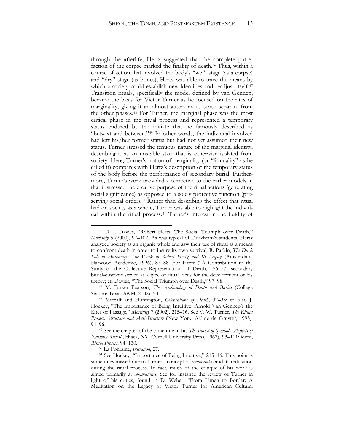through the afterlife, Hertz suggested that the complete putrefaction of the corpse marked the finality of death.<sup>46</sup> Thus, within a course of action that involved the body's "wet" stage (as a corpse) and "dry" stage (as bones), Hertz was able to trace the means by which a society could establish new identities and readjust itself.<sup>[47](#page-13-1)</sup> Transition rituals, specifically the model defined by van Gennep, became the basis for Victor Turner as he focused on the rites of marginality, giving it an almost autonomous sense separate from the other phases.[48](#page-13-2) For Turner, the marginal phase was the most critical phase in the ritual process and represented a temporary status endured by the initiate that he famously described as "betwixt and between."[49](#page-13-3) In other words, the individual involved had left his/her former status but had not yet assumed their new status. Turner stressed the tenuous nature of the marginal identity, describing it as an unstable state that is otherwise isolated from society. Here, Turner's notion of marginality (or "liminality" as he called it) compares with Hertz's description of the temporary status of the body before the performance of secondary burial. Furthermore, Turner's work provided a corrective to the earlier models in that it stressed the creative purpose of the ritual actions (generating social significance) as opposed to a solely protective function (preserving social order)[.50](#page-13-4) Rather than describing the effect that ritual had on society as a whole, Turner was able to highlight the individ-ual within the ritual process.<sup>[51](#page-13-5)</sup> Turner's interest in the fluidity of

<span id="page-13-0"></span><sup>46</sup> D. J. Davies, "Robert Hertz: The Social Triumph over Death," *Mortality* 5 (2000), 97–102. As was typical of Durkheim's students, Hertz analyzed society as an organic whole and saw their use of ritual as a means to confront death in order to insure its own survival; R. Parkin, *The Dark Side of Humanity: The Work of Robert Hertz and Its Legacy* (Amsterdam: Harwood Academic, 1996), 87–88. For Hertz ("A Contribution to the Study of the Collective Representation of Death," 56–57) secondary burial-customs served as a type of ritual locus for the development of his theory; cf. Davies, "The Social Triumph over Death," 97–98.

<span id="page-13-1"></span><sup>47</sup> M. Parker Pearson, *The Archaeology of Death and Burial* (College Station: Texas A&M, 2002), 50.

<span id="page-13-2"></span><sup>48</sup> Metcalf and Huntington, *Celebrations of Death*, 32–33; cf. also J. Hockey, "The Importance of Being Intuitive: Arnold Van Gennep's the Rites of Passage," *Mortality* 7 (2002), 215–16. See V. W. Turner, *The Ritual Process: Structure and Anti-Structure* (New York: Aldine de Gruyter, 1995), 94–96.

<span id="page-13-3"></span><sup>49</sup> See the chapter of the same title in his *The Forest of Symbols: Aspects of Ndembu Ritual* (Ithaca, NY: Cornell University Press, 1967), 93–111; idem, *Ritual Process*, 94–130.

<sup>50</sup> La Fontaine, *Initiation*, 27.

<span id="page-13-5"></span><span id="page-13-4"></span><sup>51</sup> See Hockey, "Importance of Being Intuitive," 215–16. This point is sometimes missed due to Turner's concept of *communitas* and its reification during the ritual process. In fact, much of the critique of his work is aimed primarily at *communitas*. See for instance the review of Turner in light of his critics, found in D. Weber, "From Limen to Border: A Meditation on the Legacy of Victor Turner for American Cultural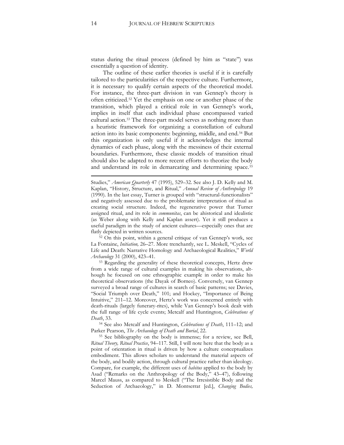status during the ritual process (defined by him as "state") was essentially a question of identity.

The outline of these earlier theories is useful if it is carefully tailored to the particularities of the respective culture. Furthermore, it is necessary to qualify certain aspects of the theoretical model. For instance, the three-part division in van Gennep's theory is often criticized.[52](#page-14-0) Yet the emphasis on one or another phase of the transition, which played a critical role in van Gennep's work, implies in itself that each individual phase encompassed varied cultural action[.53](#page-14-1) The three-part model serves as nothing more than a heuristic framework for organizing a constellation of cultural action into its basic components: beginning, middle, and end.[54](#page-14-2) But this organization is only useful if it acknowledges the internal dynamics of each phase, along with the messiness of their external boundaries. Furthermore, these classic models of transition ritual should also be adapted to more recent efforts to theorize the body and understand its role in demarcating and determining space.<sup>[55](#page-14-3)</sup>

Studies," *American Quarterly* 47 (1995), 529–32. See also J. D. Kelly and M. Kaplan, "History, Structure, and Ritual," *Annual Review of Anthropology* 19 (1990). In the last essay, Turner is grouped with "structural-functionalists" and negatively assessed due to the problematic interpretation of ritual as creating social structure. Indeed, the regenerative power that Turner assigned ritual, and its role in *communitas*, can be ahistorical and idealistic (as Weber along with Kelly and Kaplan assert). Yet it still produces a useful paradigm in the study of ancient cultures—especially ones that are flatly depicted in written sources.

<span id="page-14-0"></span><sup>52</sup> On this point, within a general critique of van Gennep's work, see La Fontaine, *Initiation,* 26–27. More trenchantly, see L. Meskell, "Cycles of Life and Death: Narrative Homology and Archaeological Realities," *World Archaeology* 31 (2000), 423–41.

<span id="page-14-1"></span><sup>53</sup> Regarding the generality of these theoretical concepts, Hertz drew from a wide range of cultural examples in making his observations, although he focused on one ethnographic example in order to make his theoretical observations (the Dayak of Borneo). Conversely, van Gennep surveyed a broad range of cultures in search of basic patterns; see Davies, "Social Triumph over Death," 101; and Hockey, "Importance of Being Intuitive," 211–12. Moreover, Hertz's work was concerned entirely with death-rituals (largely funerary-rites), while Van Gennep's book dealt with the full range of life cycle events; Metcalf and Huntington, *Celebrations of Death*, 33.

<span id="page-14-2"></span><sup>54</sup> See also Metcalf and Huntington, *Celebrations of Death*, 111–12; and Parker Pearson, *The Archaeology of Death and Burial*, 22.

<span id="page-14-3"></span><sup>55</sup> See bibliography on the body is immense; for a review, see Bell, *Ritual Theory, Ritual Practice*, 94–117. Still, I will note here that the body as a point of orientation in ritual is driven by how a culture conceptualizes embodiment. This allows scholars to understand the material aspects of the body, and bodily action, through cultural practice rather than ideology. Compare, for example, the different uses of *habitus* applied to the body by Asad ("Remarks on the Anthropology of the Body," 43–47), following Marcel Mauss, as compared to Meskell ("The Irresistible Body and the Seduction of Archaeology," in D. Montserrat [ed.], *Changing Bodies,*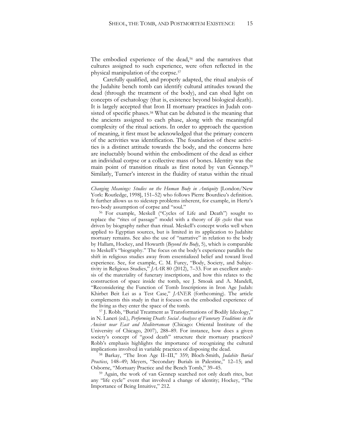The embodied experience of the dead,<sup>[56](#page-15-0)</sup> and the narratives that cultures assigned to such experience, were often reflected in the physical manipulation of the corpse.[57](#page-15-1)

Carefully qualified, and properly adapted, the ritual analysis of the Judahite bench tomb can identify cultural attitudes toward the dead (through the treatment of the body), and can shed light on concepts of eschatology (that is, existence beyond biological death). It is largely accepted that Iron II mortuary practices in Judah consisted of specific phases.[58](#page-15-2) What can be debated is the meaning that the ancients assigned to each phase, along with the meaningful complexity of the ritual actions. In order to approach the question of meaning, it first must be acknowledged that the primary concern of the activities was identification. The foundation of these activities is a distinct attitude towards the body, and the concerns here are ineluctably bound within the embodiment of the dead as either an individual corpse or a collective mass of bones. Identity was the main point of transition rituals as first noted by van Gennep.[59](#page-15-3) Similarly, Turner's interest in the fluidity of status within the ritual

*Changing Meanings: Studies on the Human Body in Antiquity* [London/New York: Routledge, 1998], 151–52) who follows Pierre Bourdieu's definition. It further allows us to sidestep problems inherent, for example, in Hertz's two-body assumption of corpse and "soul."

 $\overline{a}$ 

<span id="page-15-0"></span><sup>56</sup> For example, Meskell ("Cycles of Life and Death") sought to replace the "rites of passage" model with a theory of *life cycles* that was driven by biography rather than ritual. Meskell's concept works well when applied to Egyptian sources, but is limited in its application to Judahite mortuary remains. See also the use of "narrative" in relation to the body by Hallam, Hockey, and Howarth (*Beyond the Body*, 5), which is comparable to Meskell's "biography." The focus on the body's experience parallels the shift in religious studies away from essentialized belief and toward lived experience. See, for example, C. M. Furey, "Body, Society, and Subjectivity in Religious Studies," *JAAR* 80 (2012), 7–33. For an excellent analysis of the materiality of funerary inscriptions, and how this relates to the construction of space inside the tomb, see J. Smoak and A. Mandell, "Reconsidering the Function of Tomb Inscriptions in Iron Age Judah: Khirbet Beit Lei as a Test Case," *JANER* (forthcoming). The article complements this study in that it focuses on the embodied experience of the living as they enter the space of the tomb.

<span id="page-15-1"></span><sup>57</sup> J. Robb, "Burial Treatment as Transformations of Bodily Ideology," in N. Laneri (ed.), *Performing Death: Social Analyses of Funerary Traditions in the Ancient near East and Mediterranean* (Chicago: Oriental Institute of the University of Chicago, 2007), 288–89. For instance, how does a given society's concept of "good death" structure their mortuary practices? Robb's emphasis highlights the importance of recognizing the cultural implications involved in variable practices of disposing the dead.

<span id="page-15-2"></span><sup>58</sup> Barkay, "The Iron Age II–III," 359; Bloch-Smith, *Judahite Burial Practices*, 148–49; Meyers, "Secondary Burials in Palestine," 12–15; and Osborne, "Mortuary Practice and the Bench Tomb," 39–45.

<span id="page-15-3"></span><sup>59</sup> Again, the work of van Gennep searched not only death rites, but any "life cycle" event that involved a change of identity; Hockey, "The Importance of Being Intuitive," 212.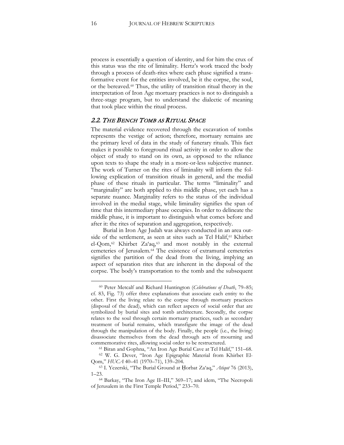process is essentially a question of identity, and for him the crux of this status was the rite of liminality. Hertz's work traced the body through a process of death-rites where each phase signified a transformative event for the entities involved, be it the corpse, the soul, or the bereaved.[60](#page-16-0) Thus, the utility of transition ritual theory in the interpretation of Iron Age mortuary practices is not to distinguish a three-stage program, but to understand the dialectic of meaning that took place within the ritual process.

#### 2.2. THE BENCH TOMB AS RITUAL SPACE

The material evidence recovered through the excavation of tombs represents the vestige of action; therefore, mortuary remains are the primary level of data in the study of funerary rituals. This fact makes it possible to foreground ritual activity in order to allow the object of study to stand on its own, as opposed to the reliance upon texts to shape the study in a more-or-less subjective manner. The work of Turner on the rites of liminality will inform the following explication of transition rituals in general, and the medial phase of these rituals in particular. The terms "liminality" and "marginality" are both applied to this middle phase, yet each has a separate nuance. Marginality refers to the status of the individual involved in the medial stage, while liminality signifies the span of time that this intermediary phase occupies. In order to delineate the middle phase, it is important to distinguish what comes before and after it: the rites of separation and aggregation, respectively.

Burial in Iron Age Judah was always conducted in an area out-side of the settlement, as seen at sites such as Tel Halif,<sup>[61](#page-16-1)</sup> Khirbet el-Qom,[62](#page-16-2) Khirbet Za'aq,[63](#page-16-3) and most notably in the external cemeteries of Jerusalem.[64](#page-16-4) The existence of extramural cemeteries signifies the partition of the dead from the living, implying an aspect of separation rites that are inherent in the disposal of the corpse. The body's transportation to the tomb and the subsequent

<span id="page-16-0"></span><sup>60</sup> Peter Metcalf and Richard Huntington (*Celebrations of Death*, 79–85; cf. 83, Fig. 73) offer three explanations that associate each entity to the other. First the living relate to the corpse through mortuary practices (disposal of the dead), which can reflect aspects of social order that are symbolized by burial sites and tomb architecture. Secondly, the corpse relates to the soul through certain mortuary practices, such as secondary treatment of burial remains, which transfigure the image of the dead through the manipulation of the body. Finally, the people (i.e., the living) disassociate themselves from the dead through acts of mourning and commemorative rites, allowing social order to be restructured.

<sup>61</sup> Biran and Gophna, "An Iron Age Burial Cave at Tel Halif," 151–68.

<span id="page-16-2"></span><span id="page-16-1"></span><sup>62</sup> W. G. Dever, "Iron Age Epigraphic Material from Khirbet El-Qom," *HUCA* 40–41 (1970–71), 139–204.

<span id="page-16-3"></span><sup>63</sup> I. Yezerski, "The Burial Ground at Ḥorbat Za'aq," *Atiqot* 76 (2013), 1–23.

<span id="page-16-4"></span><sup>64</sup> Barkay, "The Iron Age II–III," 369–17; and idem, "The Necropoli of Jerusalem in the First Temple Period," 233–70.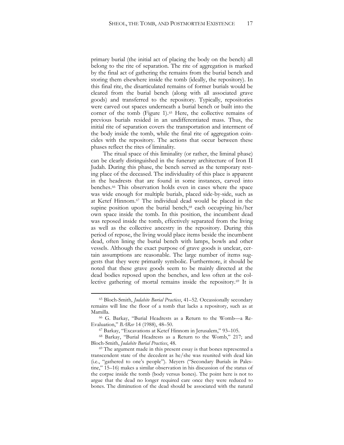primary burial (the initial act of placing the body on the bench) all belong to the rite of separation. The rite of aggregation is marked by the final act of gathering the remains from the burial bench and storing them elsewhere inside the tomb (ideally, the repository). In this final rite, the disarticulated remains of former burials would be cleared from the burial bench (along with all associated grave goods) and transferred to the repository. Typically, repositories were carved out spaces underneath a burial bench or built into the corner of the tomb (Figure 1).[65](#page-17-0) Here, the collective remains of previous burials resided in an undifferentiated mass. Thus, the initial rite of separation covers the transportation and interment of the body inside the tomb, while the final rite of aggregation coincides with the repository. The actions that occur between these phases reflect the rites of liminality.

The ritual space of this liminality (or rather, the liminal phase) can be clearly distinguished in the funerary architecture of Iron II Judah. During this phase, the bench served as the temporary resting place of the deceased. The individuality of this place is apparent in the headrests that are found in some instances, carved into benches.[66](#page-17-1) This observation holds even in cases where the space was wide enough for multiple burials, placed side-by-side, such as at Ketef Hinnom.[67](#page-17-2) The individual dead would be placed in the supine position upon the burial bench,<sup>[68](#page-17-3)</sup> each occupying his/her own space inside the tomb. In this position, the incumbent dead was reposed inside the tomb, effectively separated from the living as well as the collective ancestry in the repository. During this period of repose, the living would place items beside the incumbent dead, often lining the burial bench with lamps, bowls and other vessels. Although the exact purpose of grave goods is unclear, certain assumptions are reasonable. The large number of items suggests that they were primarily symbolic. Furthermore, it should be noted that these grave goods seem to be mainly directed at the dead bodies reposed upon the benches, and less often at the collective gathering of mortal remains inside the repository.[69](#page-17-4) It is

<span id="page-17-0"></span><sup>65</sup> Bloch-Smith, *Judahite Burial Practices*, 41–52. Occassionally secondary remains will line the floor of a tomb that lacks a repository, such as at Mamilla.

<span id="page-17-1"></span><sup>66</sup> G. Barkay, "Burial Headrests as a Return to the Womb—a Re-Evaluation," *BARev* 14 (1988), 48–50.

<sup>67</sup> Barkay, "Excavations at Ketef Hinnom in Jerusalem," 93–105.

<span id="page-17-3"></span><span id="page-17-2"></span><sup>68</sup> Barkay, "Burial Headrests as a Return to the Womb," 217; and Bloch-Smith, *Judahite Burial Practices*, 48.

<span id="page-17-4"></span><sup>&</sup>lt;sup>69</sup> The argument made in this present essay is that bones represented a transcendent state of the decedent as he/she was reunited with dead kin (i.e., "gathered to one's people"). Meyers ("Secondary Burials in Palestine," 15–16) makes a similar observation in his discussion of the status of the corpse inside the tomb (body versus bones). The point here is not to argue that the dead no longer required care once they were reduced to bones. The diminution of the dead should be associated with the natural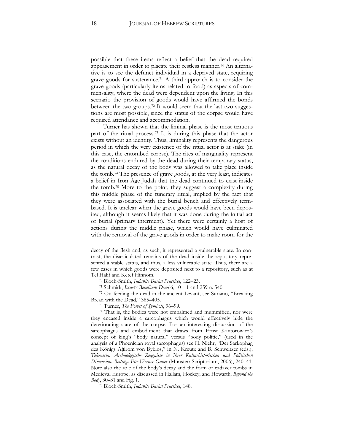possible that these items reflect a belief that the dead required appeasement in order to placate their restless manner.[70](#page-18-0) An alternative is to see the defunct individual in a deprived state, requiring grave goods for sustenance.[71](#page-18-1) A third approach is to consider the grave goods (particularly items related to food) as aspects of commensality, where the dead were dependent upon the living. In this scenario the provision of goods would have affirmed the bonds between the two groups.[72](#page-18-2) It would seem that the last two suggestions are most possible, since the status of the corpse would have required attendance and accommodation.

Turner has shown that the liminal phase is the most tenuous part of the ritual process.[73](#page-18-3) It is during this phase that the actor exists without an identity. Thus, liminality represents the dangerous period in which the very existence of the ritual actor is at stake (in this case, the entombed corpse). The rites of marginality represent the conditions endured by the dead during their temporary status, as the natural decay of the body was allowed to take place inside the tomb.[74](#page-18-4) The presence of grave goods, at the very least, indicates a belief in Iron Age Judah that the dead continued to exist inside the tomb.[75](#page-18-5) More to the point, they suggest a complexity during this middle phase of the funerary ritual, implied by the fact that they were associated with the burial bench and effectively termbased. It is unclear when the grave goods would have been deposited, although it seems likely that it was done during the initial act of burial (primary interment). Yet there were certainly a host of actions during the middle phase, which would have culminated with the removal of the grave goods in order to make room for the

<span id="page-18-2"></span><span id="page-18-1"></span><span id="page-18-0"></span><sup>72</sup> On feeding the dead in the ancient Levant, see Suriano, "Breaking Bread with the Dead," 385–405.

<sup>73</sup> Turner, *The Forest of Symbols*, 96–99.

<span id="page-18-4"></span><span id="page-18-3"></span><sup>74</sup> That is, the bodies were not embalmed and mummified, nor were they encased inside a sarcophagus which would effectively hide the deteriorating state of the corpse. For an interesting discussion of the sarcophagus and embodiment that draws from Ernst Kantorowicz's concept of king's "body natural" versus "body politic," (used in the analysis of a Phoenician royal sarcophagus) see H. Niehr, "Der Sarkophag des Königs Aḥirom von Byblos," in N. Kreutz and B. Schweitzer (eds.), *Tekmeria. Archäologische Zeugnisse in Ihrer Kulturhistorischen und Politischen Dimension. Beiträge Für Werner Gauer* (Münster: Scriptorium, 2006), 240–41. Note also the role of the body's decay and the form of cadaver tombs in Medieval Europe, as discussed in Hallam, Hockey, and Howarth, *Beyond the Body*, 30–31 and Fig. 1.

<span id="page-18-5"></span><sup>75</sup> Bloch-Smith, *Judahite Burial Practices*, 148.

decay of the flesh and, as such, it represented a vulnerable state. In contrast, the disarticulated remains of the dead inside the repository represented a stable status, and thus, a less vulnerable state. Thus, there are a few cases in which goods were deposited next to a repository, such as at Tel Halif and Ketef Hinnom.

<sup>70</sup> Bloch-Smith, *Judahite Burial Practices*, 122–23.

<sup>71</sup> Schmidt, *Israel's Beneficent Dead* 6, 10–11 and 259 n. 540.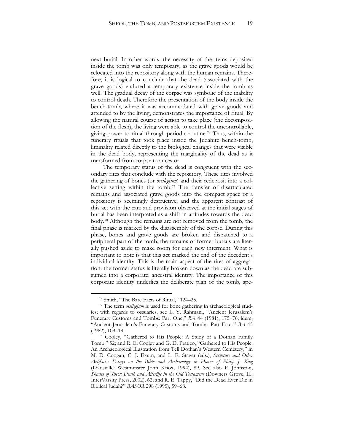next burial. In other words, the necessity of the items deposited inside the tomb was only temporary, as the grave goods would be relocated into the repository along with the human remains. Therefore, it is logical to conclude that the dead (associated with the grave goods) endured a temporary existence inside the tomb as well. The gradual decay of the corpse was symbolic of the inability to control death. Therefore the presentation of the body inside the bench-tomb, where it was accommodated with grave goods and attended to by the living, demonstrates the importance of ritual. By allowing the natural course of action to take place (the decomposition of the flesh), the living were able to control the uncontrollable, giving power to ritual through periodic routine.[76](#page-19-0) Thus, within the funerary rituals that took place inside the Judahite bench-tomb, liminality related directly to the biological changes that were visible in the dead body, representing the marginality of the dead as it transformed from corpse to ancestor.

The temporary status of the dead is congruent with the secondary rites that conclude with the repository. These rites involved the gathering of bones (or *ossilegium*) and their redeposit into a collective setting within the tomb.[77](#page-19-1) The transfer of disarticulated remains and associated grave goods into the compact space of a repository is seemingly destructive, and the apparent contrast of this act with the care and provision observed at the initial stages of burial has been interpreted as a shift in attitudes towards the dead body.[78](#page-19-2) Although the remains are not removed from the tomb, the final phase is marked by the disassembly of the corpse. During this phase, bones and grave goods are broken and dispatched to a peripheral part of the tomb; the remains of former burials are literally pushed aside to make room for each new interment. What is important to note is that this act marked the end of the decedent's individual identity. This is the main aspect of the rites of aggregation: the former status is literally broken down as the dead are subsumed into a corporate, ancestral identity. The importance of this corporate identity underlies the deliberate plan of the tomb, spe-

<sup>76</sup> Smith, "The Bare Facts of Ritual," 124–25.

<span id="page-19-1"></span><span id="page-19-0"></span><sup>77</sup> The term *ossilegium* is used for bone gathering in archaeological studies; with regards to ossuaries, see L. Y. Rahmani, "Ancient Jerusalem's Funerary Customs and Tombs: Part One," *BA* 44 (1981), 175–76; idem, "Ancient Jerusalem's Funerary Customs and Tombs: Part Four," *BA* 45 (1982), 109–19.

<span id="page-19-2"></span><sup>78</sup> Cooley, "Gathered to His People: A Study of a Dothan Family Tomb," 52; and R. E. Cooley and G. D. Pratico, "Gathered to His People: An Archaeological Illustration from Tell Dothan's Western Cemetery," in M. D. Coogan, C. J. Exum, and L. E. Stager (eds.), *Scripture and Other Artifacts: Essays on the Bible and Archaeology in Honor of Philip J. King*  (Louisville: Westminster John Knox, 1994), 89. See also P. Johnston, *Shades of Sheol: Death and Afterlife in the Old Testament* (Downers Grove, IL: InterVarsity Press, 2002), 62; and R. E. Tappy, "Did the Dead Ever Die in Biblical Judah?" *BASOR* 298 (1995), 59–68.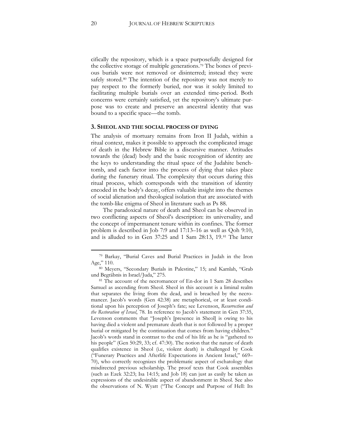cifically the repository, which is a space purposefully designed for the collective storage of multiple generations.[79](#page-20-0) The bones of previous burials were not removed or disinterred; instead they were safely stored.<sup>[80](#page-20-1)</sup> The intention of the repository was not merely to pay respect to the formerly buried, nor was it solely limited to facilitating multiple burials over an extended time-period. Both concerns were certainly satisfied, yet the repository's ultimate purpose was to create and preserve an ancestral identity that was bound to a specific space—the tomb.

#### **3. SHEOL AND THE SOCIAL PROCESS OF DYING**

The analysis of mortuary remains from Iron II Judah, within a ritual context, makes it possible to approach the complicated image of death in the Hebrew Bible in a discursive manner. Attitudes towards the (dead) body and the basic recognition of identity are the keys to understanding the ritual space of the Judahite benchtomb, and each factor into the process of dying that takes place during the funerary ritual. The complexity that occurs during this ritual process, which corresponds with the transition of identity encoded in the body's decay, offers valuable insight into the themes of social alienation and theological isolation that are associated with the tomb-like enigma of Sheol in literature such as Ps 88.

The paradoxical nature of death and Sheol can be observed in two conflicting aspects of Sheol's description: its universality, and the concept of impermanent tenure within its confines. The former problem is described in Job 7:9 and 17:13–16 as well as Qoh 9:10, and is alluded to in Gen 37:25 and 1 Sam 28:13, 19.[81](#page-20-2) The latter

<span id="page-20-0"></span><sup>79</sup> Barkay, "Burial Caves and Burial Practices in Judah in the Iron Age," 110.

<span id="page-20-1"></span><sup>80</sup> Meyers, "Secondary Burials in Palestine," 15; and Kamlah, "Grab und Begräbnis in Israel/Juda," 275.

<span id="page-20-2"></span><sup>81</sup> The account of the necromancer of En-dor in 1 Sam 28 describes Samuel as ascending from Sheol. Sheol in this account is a liminal realm that separates the living from the dead, and is breached by the necromancer. Jacob's words (Gen 42:38) are metaphorical, or at least conditional upon his perception of Joseph's fate; see Levenson, *Resurrection and the Restoration of Israel*, 78. In reference to Jacob's statement in Gen 37:35, Levenson comments that "Joseph's [presence in Sheol] is owing to his having died a violent and premature death that is not followed by a proper burial or mitigated by the continuation that comes from having children." Jacob's words stand in contrast to the end of his life as he is "gathered to his people" (Gen 50:29, 33; cf. 47:30). The notion that the nature of death qualifies existence in Sheol (i.e, violent death) is challenged by Cook ("Funerary Practices and Afterlife Expectations in Ancient Israel," 669– 70), who correctly recognizes the problematic aspect of eschatology that misdirected previous scholarship. The proof texts that Cook assembles (such as Ezek 32:23; Isa 14:15; and Job 18) can just as easily be taken as expressions of the undesirable aspect of abandonment in Sheol. See also the observations of N. Wyatt ("The Concept and Purpose of Hell: Its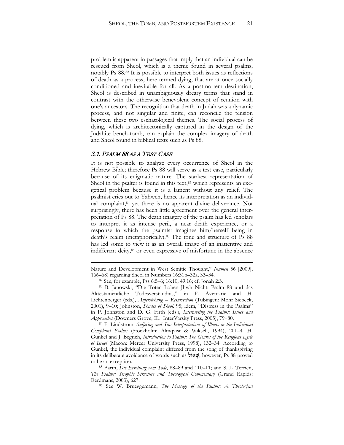problem is apparent in passages that imply that an individual can be rescued from Sheol, which is a theme found in several psalms, notably Ps 88[.82](#page-21-0) It is possible to interpret both issues as reflections of death as a process, here termed dying, that are at once socially conditioned and inevitable for all. As a postmortem destination, Sheol is described in unambiguously dreary terms that stand in contrast with the otherwise benevolent concept of reunion with one's ancestors. The recognition that death in Judah was a dynamic process, and not singular and finite, can reconcile the tension between these two eschatological themes. The social process of dying, which is architectonically captured in the design of the Judahite bench-tomb, can explain the complex imagery of death and Sheol found in biblical texts such as Ps 88.

#### 3.1. PSALM 88 AS A TEST CASE

 $\overline{a}$ 

It is not possible to analyze every occurrence of Sheol in the Hebrew Bible; therefore Ps 88 will serve as a test case, particularly because of its enigmatic nature. The starkest representation of Sheol in the psalter is found in this text, [83](#page-21-1) which represents an exegetical problem because it is a lament without any relief. The psalmist cries out to Yahweh, hence its interpretation as an individual complaint,<sup>84</sup> yet there is no apparent divine deliverance. Not surprisingly, there has been little agreement over the general interpretation of Ps 88. The death imagery of the psalm has led scholars to interpret it as intense peril, a near death experience, or a response in which the psalmist imagines him/herself being in death's realm (metaphorically).<sup>[85](#page-21-3)</sup> The tone and structure of Ps 88 has led some to view it as an overall image of an inattentive and indifferent deity[,86](#page-21-4) or even expressive of misfortune in the absence

Nature and Development in West Semitic Thought," *Numen* 56 [2009], 166–68) regarding Sheol in Numbers 16:31b–32a, 33–34.

<sup>82</sup> See, for example, Pss 6:5–6; 16:10; 49:16; cf. Jonah 2:3.

<span id="page-21-1"></span><span id="page-21-0"></span><sup>83</sup> B. Janowski, "Die Toten Loben Jhwh Nicht: Psalm 88 und das Alttestamentliche Todesverständnis," in F. Avemarie and H. Lichtenberger (eds.), *Auferstehung = Resurrection* (Tübingen: Mohr Siebeck, 2001), 9–10; Johnston, *Shades of Sheol,* 95; idem, "Distress in the Psalms" in P. Johnston and D. G. Firth (eds.), *Interpreting the Psalms: Issues and Approaches* (Downers Grove, IL.: InterVarsity Press, 2005), 79–80.

<span id="page-21-2"></span><sup>84</sup> F. Lindström, *Suffering and Sin: Interpretations of Illness in the Individual Complaint Psalms* (Stockholm: Almqvist & Wiksell, 1994), 201–4. H. Gunkel and J. Begrich, *Introduction to Psalms: The Genres of the Religious Lyric of Israel* (Macon: Mercer University Press, 1998), 132–34. According to Gunkel, the individual complaint differed from the song of thanksgiving in its deliberate avoidance of words such as  $\forall x \in \mathcal{Y}$ ; however, Ps 88 proved to be an exception.

<span id="page-21-4"></span><span id="page-21-3"></span><sup>85</sup> Barth, *Die Errettung vom Tode*, 88–89 and 110–11; and S. L. Terrien, *The Psalms: Strophic Structure and Theological Commentary* (Grand Rapids: Eerdmans, 2003), 627.

<sup>86</sup> See W. Brueggemann, *The Message of the Psalms: A Theological*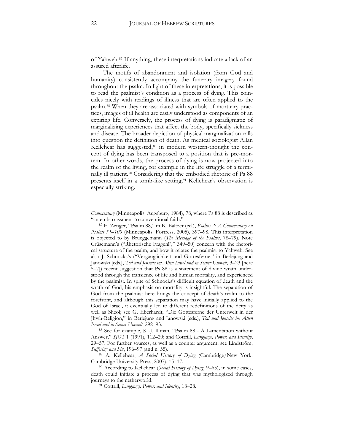of Yahweh.[87](#page-22-0) If anything, these interpretations indicate a lack of an assured afterlife.

The motifs of abandonment and isolation (from God and humanity) consistently accompany the funerary imagery found throughout the psalm. In light of these interpretations, it is possible to read the psalmist's condition as a process of dying. This coincides nicely with readings of illness that are often applied to the psalm.[88](#page-22-1) When they are associated with symbols of mortuary practices, images of ill health are easily understood as components of an expiring life. Conversely, the process of dying is paradigmatic of marginalizing experiences that affect the body, specifically sickness and disease. The broader depiction of physical marginalization calls into question the definition of death. As medical sociologist Allan Kellehear has suggested,<sup>[89](#page-22-2)</sup> in modern western-thought the concept of dying has been transposed to a position that is pre-mortem. In other words, the process of dying is now projected into the realm of the living, for example in the life struggle of a terminally ill patient.[90](#page-22-3) Considering that the embodied rhetoric of Ps 88 presents itself in a tomb-like setting,<sup>[91](#page-22-4)</sup> Kellehear's observation is especially striking.

*Commentary* (Minneapolis: Augsburg, 1984), 78, where Ps 88 is described as "an embarrassment to conventional faith."

<span id="page-22-0"></span><sup>87</sup> E. Zenger, "Psalm 88," in K. Baltzer (ed.), *Psalms 2: A Commentary on Psalms 51–100* (Minneapolis: Fortress, 2005), 397–98. This interpretation is objected to by Brueggemann (*The Message of the Psalms*, 78–79). Note Crüsemann's ("Rhetorische Fragen!?," 349–50) concern with the rhetorical structure of the psalm, and how it relates the psalmist to Yahweh. See also J. Schnocks's ("Vergänglichkeit und Gottesferne," in Berlejung and Janowski [eds.], *Tod und Jenseits im Alten Israel und in Seiner Umwelt*, 3–23 [here 5–7]) recent suggestion that Ps 88 is a statement of divine wrath understood through the transience of life and human mortality, and experienced by the psalmist. In spite of Schnocks's difficult equation of death and the wrath of God, his emphasis on mortality is insightful. The separation of God from the psalmist here brings the concept of death's realm to the forefront, and although this separation may have initially applied to the God of Israel, it eventually led to different redefinitions of the deity as well as Sheol; see G. Eberhardt, "Die Gottesferne der Unterwelt in der Jhwh-Religion," in Berlejung and Janowski (eds.), *Tod und Jenseits im Alten Israel und in Seiner Umwelt*, 292–93.

<span id="page-22-1"></span><sup>88</sup> See for example, K.-J. Illman, "Psalm 88 - A Lamentation without Answer," *SJOT* 1 (1991), 112–20; and Cottrill, *Language, Power, and Identity*, 29–57. For further sources, as well as a counter argument, see Lindström, *Suffering and Sin*, 196–97 (and n. 55).

<span id="page-22-2"></span><sup>89</sup> A. Kellehear, *A Social History of Dying* (Cambridge/New York: Cambridge University Press, 2007), 15–17.

<span id="page-22-4"></span><span id="page-22-3"></span><sup>90</sup> According to Kellehear (*Social History of Dying*, 9–65), in some cases, death could initiate a process of dying that was mythologized through journeys to the netherworld.

<sup>91</sup> Cottrill, *Language, Power, and Identity*, 18–28.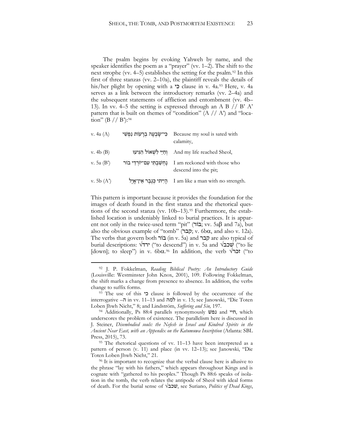The psalm begins by evoking Yahweh by name, and the speaker identifies the poem as a "prayer" (vv. 1–2). The shift to the next strophe (vv. 4–5) establishes the setting for the psalm.<sup>92</sup> In this first of three stanzas (vv. 2–10a), the plaintiff reveals the details of his/her plight by opening with a בִּי clause in v. 4a.<sup>93</sup> Here, v. 4a serves as a link between the introductory remarks (vv. 2–4a) and the subsequent statements of affliction and entombment (vv. 4b– 13). In vv. 4–5 the setting is expressed through an A B // B' A' pattern that is built on themes of "condition"  $(A / A)$  and "location" (B // B'):<sup>94</sup>

| v. 4a $(A)$  | כִּי־שָׂבְעָה בְרָעוֹת נַפְשִׁי | Because my soul is sated with<br>calamity,                    |
|--------------|---------------------------------|---------------------------------------------------------------|
| v. 4b $(B)$  | וְחַיַּי לִשְׁאוֹל הְגִיעוּ     | And my life reached Sheol,                                    |
| v. 5a $(B')$ | נחשבתי עם־יורדי בור             | I am reckoned with those who<br>descend into the pit;         |
| v. 5b $(A')$ |                                 | הְיִיתי כְּגֶבֶר אֵין־אֱיְל I am like a man with no strength. |

This pattern is important because it provides the foundation for the images of death found in the first stanza and the rhetorical questions of the second stanza (vv. 10b-13).<sup>95</sup> Furthermore, the established location is undeniably linked to burial practices. It is apparent not only in the twice-used term "pit" (בוֹר; vv. 5aβ and 7a), but also the obvious example of "tomb" (קבר; v. 6b $\alpha$ , and also v. 12a). The verbs that govern both בוֹר) in v. 5a) and קבר are also typical of burial descriptions: √ירד") to descend") in v. 5a and √שׁכב") to lie [down]; to sleep") in v. 6bα.<sup>96</sup> In addition, the verb √ז**כר** ("to

<sup>92</sup> J. P. Fokkelman, *Reading Biblical Poetry: An Introductory Guide* (Louisville: Westminster John Knox, 2001), 109. Following Fokkelman, the shift marks a change from presence to absence. In addition, the verbs change to suffix forms.

<sup>93</sup> The use of this כי clause is followed by the occurrence of the interrogative –ה in vv. 11–13 and למה in v. 15; see Janowski, "Die Toten Loben Jhwh Nicht," 8; and Lindström, *Suffering and Sin,* 197.

<sup>94</sup> Additionally, Ps 88:4 parallels synonymously נפשׁ and חיי, which underscores the problem of existence. The parallelism here is discussed in J. Steiner, *Disembodied souls: the Nefesh in Israel and Kindred Spirits in the Ancient Near East, with an Appendix on the Katumuwa Inscription* (Atlanta: SBL Press, 2015), 73.

<sup>95</sup> The rhetorical questions of vv. 11–13 have been interpreted as a pattern of person (v. 11) and place (in vv. 12–13); see Janowski, "Die Toten Loben Jhwh Nicht," 21.

<sup>&</sup>lt;sup>96</sup> It is important to recognize that the verbal clause here is allusive to the phrase "lay with his fathers," which appears throughout Kings and is cognate with "gathered to his peoples." Though Ps 88:6 speaks of isolation in the tomb, the verb relates the antipode of Sheol with ideal forms of death. For the burial sense of √שׁכב, see Suriano, *Politics of Dead Kings*,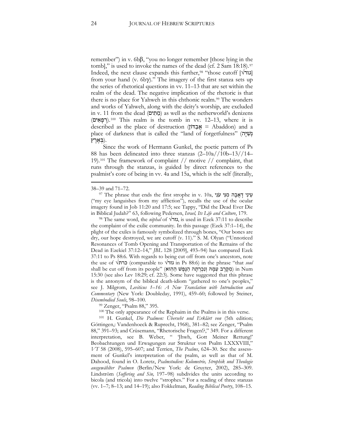remember") in v. 6bβ, "you no longer remember [those lying in the tomb]," is used to invoke the names of the dead (cf. 2 Sam 18:18).<sup>97</sup> Indeed, the next clause expands this further,<sup>98</sup> "those cutoff [√גור] from your hand (v.  $6b\gamma$ )." The imagery of the first stanza sets up the series of rhetorical questions in vv. 11–13 that are set within the realm of the dead. The negative implication of the rhetoric is that there is no place for Yahweh in this chthonic realm.<sup>99</sup> The wonders and works of Yahweh, along with the deity's worship, are excluded in v. 11 from the dead (מֵתְים) as well as the netherworld's denizens *<sup>F</sup>*.*9*)רְ פָ אִ ים) <sup>100</sup> This realm is the tomb in vv. 12–13, where it is described as the place of destruction (דּוֹן ַב ֲא = Abaddon) and a place of darkness that is called the "land of forgetfulness" (הָיּ ִשְׁנ .(בְּ אֶ רֶ ץ

Since the work of Hermann Gunkel, the poetic pattern of Ps 88 has been delineated into three stanzas (2–10a//10b–13//14– 19).<sup>101</sup> The framework of complaint // motive // complaint, that runs through the stanzas, is guided by direct references to the psalmist's core of being in vv. 4a and 15a, which is the self (literally,

 $\overline{a}$ 

<sup>98</sup> The same word, the *niphal* of √גזר, is used in Ezek 37:11 to describe the complaint of the exilic community. In this passage (Ezek 37:1–14), the plight of the exiles is famously symbolized through bones, "Our bones are dry, our hope destroyed, we are cutoff (v. 11)." S. M. Olyan ("Unnoticed Resonances of Tomb Opening and Transportation of the Remains of the Dead in Ezekiel 37:12–14," *JBL* 128 [2009], 493–94) has compared Ezek 37:11 to Ps 88:6. With regards to being cut off from one's ancestors, note the use of √כרת) comparable to √גזר in Ps 88:6) in the phrase "that *soul*  shall be cut off from its people" (מִקֶּרֶב עַמָּהּ וְנִכְרְתָה הַנֶּפֶשׁ הַהִוא) in Num 15:30 (see also Lev 18:29; cf. 22:3). Some have suggested that this phrase is the antonym of the biblical death-idiom "gathered to one's peoples," see J. Milgrom, *Leviticus 1–16: A New Translation with Introduction and Commentary* (New York: Doubleday, 1991), 459–60; followed by Steiner, *Disembodied Souls*, 98–100.

<sup>99</sup> Zenger, "Psalm 88," 395.

עֵעֵ יִדְ אֲבָה מִנִּי עֹנִי ,and 71–72.<br>שֵׁ יִנִּי דִאֲבָה מִנִּי עֹנִי ,and 71–72. ("my eye languishes from my affliction"), recalls the use of the ocular imagery found in Job 11:20 and 17:5; see Tappy, "Did the Dead Ever Die in Biblical Judah?" 63, following Pedersen, *Israel, Its Life and Culture*, 179.

<sup>100</sup> The only appearance of the Rephaim in the Psalms is in this verse. 101 H. Gunkel, *Die Psalmen: Überseht und Erklärt von* (5th edition; Göttingen,: Vandenhoeck & Ruprecht, 1968), 381–82; see Zenger, "Psalm 88," 391–93; and Crüsemann, "Rhetorische Fragen!?," 349. For a different interpretation, see B. Weber, " 'Jhwh, Gott Meiner Rettung!' Beobachtungen und Erwagungen zur Struktur von Psalm LXXXVIII," *VT* 58 (2008), 595–607; and Terrien, *The Psalms*, 624–30. See the assessment of Gunkel's interpretation of the psalm, as well as that of M. Dahood, found in O. Loretz, *Psalmstudien: Kolometrie, Strophik und Theologie ausgewählter Psalmen* (Berlin/New York: de Gruyter, 2002), 285–309. Lindström (*Suffering and Sin,* 197–98) subdivides the units according to bicola (and tricola) into twelve "strophes." For a reading of three stanzas (vv. 1–7; 8–13; and 14–19); also Fokkelman, *Reading Biblical Poetry*, 108–15.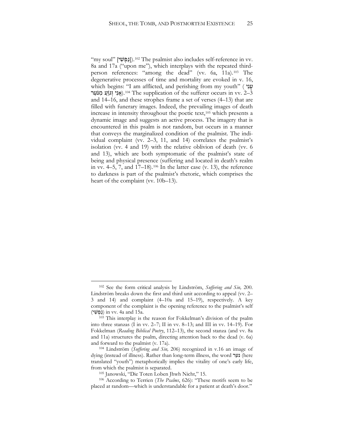*<sup>F</sup>*.*10*])נַ פְ שִׁ י] "soul my" <sup>102</sup> The psalmist also includes self-reference in vv. 8a and 17a ("upon me"), which interplays with the repeated thirdperson references: "among the dead" (vv. 6a, 11a).<sup>103</sup> The degenerative processes of time and mortality are evoked in v. 16, which begins: "I am afflicted, and perishing from my youth" ( יָנוֹ אָנִי וְגוֵעַ מִנֹּעַר).<sup>104</sup> The supplication of the sufferer occurs in vv. 2–3 and 14–16, and these strophes frame a set of verses (4–13) that are filled with funerary images. Indeed, the prevailing images of death increase in intensity throughout the poetic text,<sup>105</sup> which presents a dynamic image and suggests an active process. The imagery that is encountered in this psalm is not random, but occurs in a manner that conveys the marginalized condition of the psalmist. The individual complaint (vv. 2–3, 11, and 14) correlates the psalmist's isolation (vv. 4 and 19) with the relative oblivion of death (vv. 6 and 13), which are both symptomatic of the psalmist's state of being and physical presence (suffering and located in death's realm in vv. 4–5, 7, and 17–18).<sup>106</sup> In the latter case (v. 13), the reference to darkness is part of the psalmist's rhetoric, which comprises the heart of the complaint (vv. 10b–13).

<sup>102</sup> See the form critical analysis by Lindström, *Suffering and Sin,* 200. Lindström breaks down the first and third unit according to appeal (vv. 2– 3 and 14) and complaint (4–10a and 15–19), respectively. A key component of the complaint is the opening reference to the psalmist's self (נָפְשִׁי) in vv. 4a and 15a.

<sup>&</sup>lt;sup>103</sup> This interplay is the reason for Fokkelman's division of the psalm into three stanzas (I in vv. 2–7; II in vv. 8–13; and III in vv. 14–19). For Fokkelman (*Reading Biblical Poetry*, 112–13), the second stanza (and vv. 8a and 11a) structures the psalm, directing attention back to the dead (v. 6a) and forward to the psalmist (v. 17a).

<sup>104</sup> Lindström (*Suffering and Sin,* 206) recognized in v.16 an image of dying (instead of illness). Rather than long-term illness, the word נער) (here translated "youth") metaphorically implies the vitality of one's early life, from which the psalmist is separated.

<sup>105</sup> Janowski, "Die Toten Loben Jhwh Nicht," 15.

<sup>106</sup> According to Terrien (*The Psalms*, 626): "These motifs seem to be placed at random—which is understandable for a patient at death's door."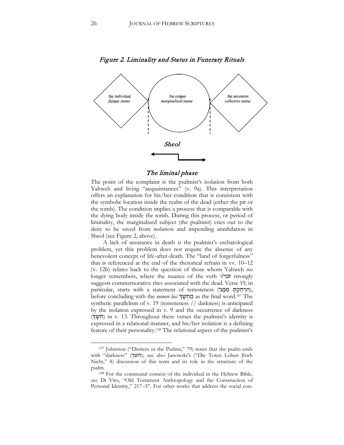

#### Figure 2. Liminality and Status in Funerary Rituals

#### The liminal phase

The point of the complaint is the psalmist's isolation from both Yahweh and living "acquaintances" (v. 9a). This interpretation offers an explanation for his/her condition that is consistent with the symbolic location inside the realm of the dead (either the pit or the tomb). The condition implies a process that is comparable with the dying body inside the tomb. During this process, or period of liminality, the marginalized subject (the psalmist) cries out to the deity to be saved from isolation and impending annihilation in Sheol (see Figure 2, above).

A lack of assurance in death is the psalmist's eschatological problem, yet this problem does not require the absence of any benevolent concept of life-after-death. The "land of forgetfulness" that is referenced at the end of the rhetorical refrain in vv. 10–12 (v. 12b) relates back to the question of those whom Yahweh no longer remembers, where the nuance of the verb **√זכר** strongly suggests commemorative rites associated with the dead. Verse 19, in particular, starts with a statement of remoteness (הִרְחַקָת מִמֵּנִי), before concluding with the *nomen loci* מַחְשָׁךְ as the final word.<sup>107</sup> The synthetic parallelism of v. 19 (remoteness // darkness) is anticipated by the isolation expressed in v. 9 and the occurrence of darkness (חֹשֶׁךָ) in v. 13. Throughout these verses the psalmist's identity is expressed in a relational manner, and his/her isolation is a defining feature of their personality.<sup>108</sup> The relational aspect of the psalmist's

<sup>107</sup> Johnston ("Distress in the Psalms," 79) notes that the psalm ends with "darkness" (חשׂך); see also Janowski's ("Die Toten Loben Jhwh Nicht," 8) discussion of this term and its role in the structure of the psalm.

<sup>108</sup> For the communal context of the individual in the Hebrew Bible, see Di Vito, "Old Testament Anthropology and the Construction of Personal Identity," 217–37. For other works that address the social con-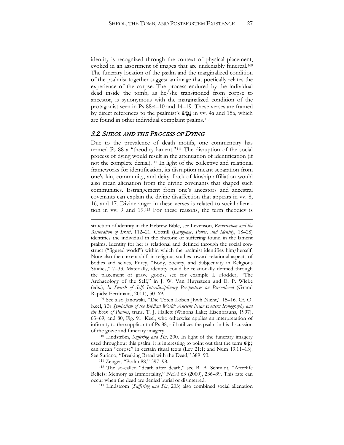identity is recognized through the context of physical placement, evoked in an assortment of images that are undeniably funereal.<sup>109</sup> The funerary location of the psalm and the marginalized condition of the psalmist together suggest an image that poetically relates the experience of the corpse. The process endured by the individual dead inside the tomb, as he/she transitioned from corpse to ancestor, is synonymous with the marginalized condition of the protagonist seen in Ps 88:4–10 and 14–19. These verses are framed by direct references to the psalmist's **הַפֵּטׁ** in vv. 4a and 15a, which are found in other individual complaint psalms.<sup>110</sup>

#### 3.2. SHEOL AND THE PROCESS OF DYING

Due to the prevalence of death motifs, one commentary has termed Ps 88 a "theodicy lament."<sup>111</sup> The disruption of the social process of dying would result in the attenuation of identification (if not the complete denial).<sup>112</sup> In light of the collective and relational frameworks for identification, its disruption meant separation from one's kin, community, and deity. Lack of kinship affiliation would also mean alienation from the divine covenants that shaped such communities. Estrangement from one's ancestors and ancestral covenants can explain the divine disaffection that appears in vv. 8, 16, and 17. Divine anger in these verses is related to social alienation in vv. 9 and 19.<sup>113</sup> For these reasons, the term theodicy is

<sup>110</sup> Lindström, *Suffering and Sin*, 200. In light of the funerary imagery used throughout this psalm, it is interesting to point out that the term גָפֶשׁ can mean "corpse" in certain ritual texts (Lev 21:1; and Num 19:11–13). See Suriano, "Breaking Bread with the Dead," 389–93.

<sup>111</sup> Zenger, "Psalm 88," 397–98.

 $\overline{a}$ 

<sup>112</sup> The so-called "death after death," see B. B. Schmidt, "Afterlife Beliefs: Memory as Immortality," *NEA* 63 (2000), 236–39. This fate can occur when the dead are denied burial or disinterred.

<sup>113</sup> Lindström (*Suffering and Sin*, 203) also combined social alienation

struction of identity in the Hebrew Bible, see Levenson, *Resurrection and the Restoration of Israel*, 112–21. Cottrill (*Language, Power, and Identity*, 18–28) identifies the individual in the rhetoric of suffering found in the lament psalms. Identity for her is relational and defined through the social construct ("figured world") within which the psalmist identifies him/herself. Note also the current shift in religious studies toward relational aspects of bodies and selves, Furey, "Body, Society, and Subjectivity in Religious Studies," 7–33. Materially, identity could be relationally defined through the placement of grave goods, see for example I. Hodder, "The Archaeology of the Self," in J. W. Van Huyssteen and E. P. Wiebe (eds.), *In Search of Self: Interdisciplinary Perspectives on Personhood* (Grand Rapids: Eerdmans, 2011), 50–69.

<sup>109</sup> See also Janowski, "Die Toten Loben Jhwh Nicht," 15–16. Cf. O. Keel, *The Symbolism of the Biblical World: Ancient Near Eastern Iconography and the Book of Psalms*, trans. T. J. Hallett (Winona Lake; Eisenbrauns, 1997), 63–69, and 80, Fig. 91. Keel, who otherwise applies an interpretation of infirmity to the supplicant of Ps 88, still utilizes the psalm in his discussion of the grave and funerary imagery.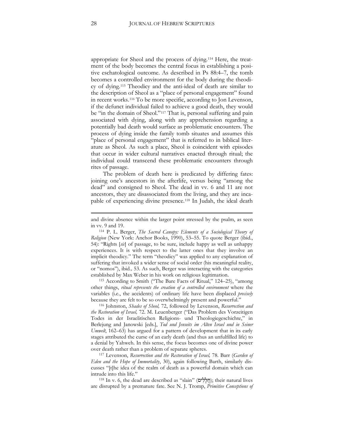appropriate for Sheol and the process of dying.[114](#page-28-0) Here, the treatment of the body becomes the central focus in establishing a positive eschatological outcome. As described in Ps 88:4–7, the tomb becomes a controlled environment for the body during the theodicy of dying.[115](#page-28-1) Theodicy and the anti-ideal of death are similar to the description of Sheol as a "place of personal engagement" found in recent works.[116](#page-28-2) To be more specific, according to Jon Levenson, if the defunct individual failed to achieve a good death, they would be "in the domain of Sheol."<sup>[117](#page-28-3)</sup> That is, personal suffering and pain associated with dying, along with any apprehension regarding a potentially bad death would surface as problematic encounters. The process of dying inside the family tomb situates and assumes this "place of personal engagement" that is referred to in biblical literature as Sheol. As such a place, Sheol is coincident with episodes that occur in wider cultural narratives enacted through ritual; the individual could transcend these problematic encounters through rites of passage.

The problem of death here is predicated by differing fates: joining one's ancestors in the afterlife, versus being "among the dead" and consigned to Sheol. The dead in vv. 6 and 11 are not ancestors, they are disassociated from the living, and they are incapable of experiencing divine presence.[118](#page-28-4) In Judah, the ideal death

<span id="page-28-0"></span><sup>114</sup> P. L. Berger, *The Sacred Canopy: Elements of a Sociological Theory of Religion* (New York: Anchor Books, 1990), 53–55. To quote Berger (ibid*.*, 54): "Rights [*sic*] of passage, to be sure, include happy as well as unhappy experiences. It is with respect to the latter ones that they involve an implicit theodicy." The term "theodicy" was applied to any explanation of suffering that invoked a wider sense of social order (his meaningful reality, or "nomos"), ibid*.,* 53. As such, Berger was interacting with the categories

<span id="page-28-1"></span>established by Max Weber in his work on religious legitimation. 115 According to Smith ("The Bare Facts of Ritual," 124–25), "among other things, *ritual represents the creation of a controlled environment* where the variables (i.e., the accidents) of ordinary life have been displaced *precisely*  because they are felt to be so overwhelmingly present and powerful."

<span id="page-28-2"></span><sup>116</sup> Johnston, *Shades of Sheol,* 72, followed by Levenson, *Resurrection and the Restoration of Israel,* 72. M. Leuenberger ("Das Problem des Vorzeitigen Todes in der Israelitischen Religions- und Theologiegeschichte," in Berlejung and Janowski [eds.], *Tod und Jenseits im Alten Israel und in Seiner Umwelt*, 162–63) has argued for a pattern of development that in its early stages attributed the curse of an early death (and thus an unfulfilled life) to a denial by Yahweh. In this sense, the focus becomes one of divine power over death rather than a problem of separate spheres.

<span id="page-28-3"></span><sup>117</sup> Levenson, *Resurrection and the Restoration of Israel,* 78. Barr (*Garden of Eden and the Hope of Immortality*, 30), again following Barth, similarly discusses "[t]he idea of the realm of death as a powerful domain which can intrude into this life."

<span id="page-28-4"></span> $118$  In v. 6, the dead are described as "slain" (חֲלָלִים); their natural lives are disrupted by a premature fate. See N. J. Tromp, *Primitive Conceptions of* 

and divine absence within the larger point stressed by the psalm, as seen in vv. 9 and 19.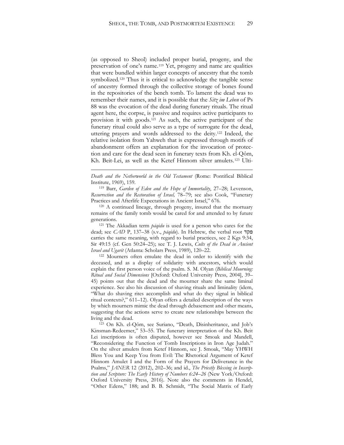(as opposed to Sheol) included proper burial, progeny, and the preservation of one's name.[119](#page-29-0) Yet, progeny and name are qualities that were bundled within larger concepts of ancestry that the tomb symbolized.<sup>[120](#page-29-1)</sup> Thus it is critical to acknowledge the tangible sense of ancestry formed through the collective storage of bones found in the repositories of the bench tomb. To lament the dead was to remember their names, and it is possible that the *Sitz im Leben* of Ps 88 was the evocation of the dead during funerary rituals. The ritual agent here, the corpse, is passive and requires active participants to provision it with goods.[121](#page-29-2) As such, the active participant of the funerary ritual could also serve as a type of surrogate for the dead, uttering prayers and words addressed to the deity[.122](#page-29-3) Indeed, the relative isolation from Yahweh that is expressed through motifs of abandonment offers an explanation for the invocation of protection and care for the dead seen in funerary texts from Kh. el-Qôm, Kh. Beit-Lei, as well as the Ketef Hinnom silver amulets.[123](#page-29-4) Ulti-

 $\overline{a}$ 

<span id="page-29-0"></span><sup>119</sup> Barr, *Garden of Eden and the Hope of Immortality*, 27–28; Levenson, *Resurrection and the Restoration of Israel,* 78–79; see also Cook, "Funerary Practices and Afterlife Expectations in Ancient Israel," 676.

<span id="page-29-1"></span><sup>120</sup> A continued lineage, through progeny, insured that the mortuary remains of the family tomb would be cared for and attended to by future generations.

<span id="page-29-2"></span><sup>121</sup> The Akkadian term *pāqidu* is used for a person who cares for the dead; see *CAD* P, 137–38 (s.v., *pāqidu*). In Hebrew, the verbal root פקד carries the same meaning, with regard to burial practices, see 2 Kgs 9:34, Sir 49:15 (cf. Gen 50:24–25); see T. J. Lewis, *Cults of the Dead in Ancient Israel and Ugarit* (Atlanta: Scholars Press, 1989), 120–22.

<span id="page-29-3"></span><sup>122</sup> Mourners often emulate the dead in order to identify with the deceased, and as a display of solidarity with ancestors, which would explain the first person voice of the psalm. S. M. Olyan (*Biblical Mourning: Ritual and Social Dimensions* [Oxford: Oxford University Press, 2004], 39– 45) points out that the dead and the mourner share the same liminal experience. See also his discussion of shaving rituals and liminality (idem, "What do shaving rites accomplish and what do they signal in biblical ritual contexts?," 611–12). Olyan offers a detailed description of the ways by which mourners mimic the dead through debasement and other means, suggesting that the actions serve to create new relationships between the living and the dead.

<span id="page-29-4"></span><sup>123</sup> On Kh. el-Qôm, see Suriano, "Death, Disinheritance, and Job's Kinsman-Redeemer," 53–55. The funerary interpretation of the Kh. Beit Lei inscriptions is often disputed, however see Smoak and Mandell, "Reconsidering the Function of Tomb Inscriptions in Iron Age Judah." On the silver amulets from Ketef Hinnom, see J. Smoak, "May YHWH Bless You and Keep You from Evil: The Rhetorical Argument of Ketef Hinnom Amulet I and the Form of the Prayers for Deliverance in the Psalms," *JANER* 12 (2012), 202–36; and id., *The Priestly Blessing in Inscription and Scripture: The Early History of Numbers 6:24–26* (New York/Oxford: Oxford University Press, 2016). Note also the comments in Hendel, "Other Edens," 188; and B. B. Schmidt, "The Social Matrix of Early

*Death and the Netherworld in the Old Testament* (Rome: Pontifical Biblical Institute, 1969), 159.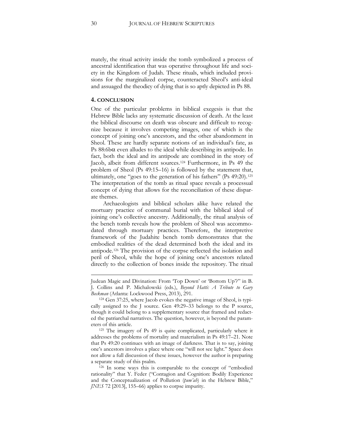mately, the ritual activity inside the tomb symbolized a process of ancestral identification that was operative throughout life and society in the Kingdom of Judah. These rituals, which included provisions for the marginalized corpse, counteracted Sheol's anti-ideal and assuaged the theodicy of dying that is so aptly depicted in Ps 88.

#### **4. CONCLUSION**

One of the particular problems in biblical exegesis is that the Hebrew Bible lacks any systematic discussion of death. At the least the biblical discourse on death was obscure and difficult to recognize because it involves competing images, one of which is the concept of joining one's ancestors, and the other abandonment in Sheol. These are hardly separate notions of an individual's fate, as Ps  $88:6b\alpha$  even alludes to the ideal while describing its antipode. In fact, both the ideal and its antipode are combined in the story of Jacob, albeit from different sources.[124](#page-30-0) Furthermore, in Ps 49 the problem of Sheol (Ps 49:15–16) is followed by the statement that, ultimately, one "goes to the generation of his fathers" (Ps 49:20).[125](#page-30-1) The interpretation of the tomb as ritual space reveals a processual concept of dying that allows for the reconciliation of these disparate themes.

Archaeologists and biblical scholars alike have related the mortuary practice of communal burial with the biblical ideal of joining one's collective ancestry. Additionally, the ritual analysis of the bench tomb reveals how the problem of Sheol was accommodated through mortuary practices. Therefore, the interpretive framework of the Judahite bench tomb demonstrates that the embodied realities of the dead determined both the ideal and its antipode.[126](#page-30-2) The provision of the corpse reflected the isolation and peril of Sheol, while the hope of joining one's ancestors related directly to the collection of bones inside the repository. The ritual

Judean Magic and Divination: From 'Top Down' or 'Bottom Up'?" in B. J. Collins and P. Michalowski (eds.), *Beyond Hatti: A Tribute to Gary Beckman* (Atlanta: Lockwood Press, 2013), 291.

<span id="page-30-0"></span><sup>124</sup> Gen 37:25, where Jacob evokes the negative image of Sheol, is typically assigned to the J source. Gen 49:29–33 belongs to the P source, though it could belong to a supplementary source that framed and redacted the patriarchal narratives. The question, however, is beyond the param-

<span id="page-30-1"></span>eters of this article. 125 The imagery of Ps 49 is quite complicated, particularly where it addresses the problems of mortality and materialism in Ps 49:17–21. Note that Ps 49:20 continues with an image of darkness. That is to say, joining one's ancestors involves a place where one "will not see light." Space does not allow a full discussion of these issues, however the author is preparing a separate study of this psalm. 126 In some ways this is comparable to the concept of "embodied

<span id="page-30-2"></span>rationality" that Y. Feder ("Contagion and Cognition: Bodily Experience and the Conceptualization of Pollution (*ṭum'ah*) in the Hebrew Bible," *JNES* 72 [2013], 155–66) applies to corpse impurity.